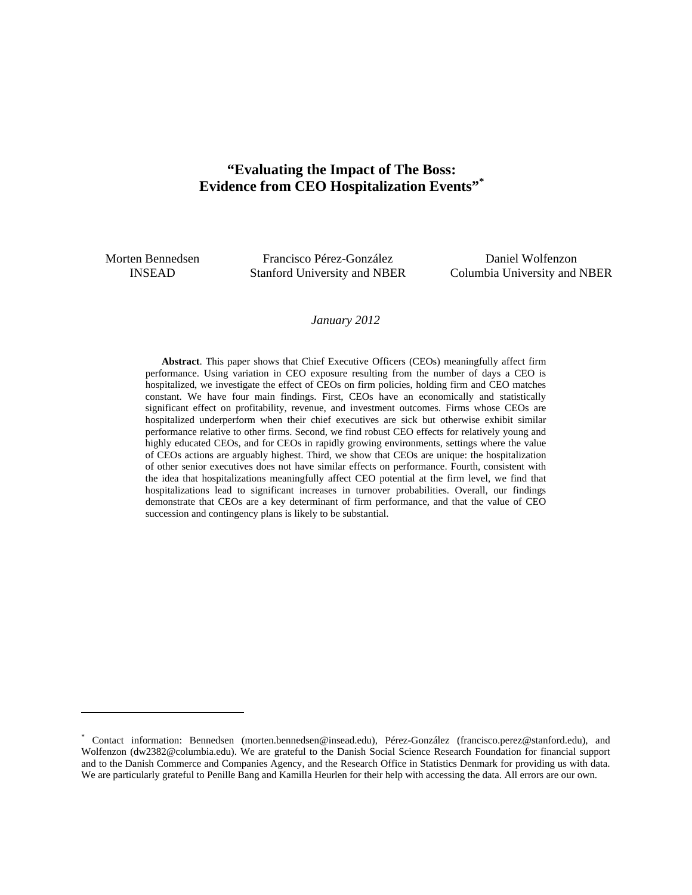# **"Evaluating the Impact of The Boss: Evidence from CEO Hospitalization Events"\***

Morten Bennedsen INSEAD

 $\overline{a}$ 

Francisco Pérez-González Stanford University and NBER

Daniel Wolfenzon Columbia University and NBER

#### *January 2012*

**Abstract**. This paper shows that Chief Executive Officers (CEOs) meaningfully affect firm performance. Using variation in CEO exposure resulting from the number of days a CEO is hospitalized, we investigate the effect of CEOs on firm policies, holding firm and CEO matches constant. We have four main findings. First, CEOs have an economically and statistically significant effect on profitability, revenue, and investment outcomes. Firms whose CEOs are hospitalized underperform when their chief executives are sick but otherwise exhibit similar performance relative to other firms. Second, we find robust CEO effects for relatively young and highly educated CEOs, and for CEOs in rapidly growing environments, settings where the value of CEOs actions are arguably highest. Third, we show that CEOs are unique: the hospitalization of other senior executives does not have similar effects on performance. Fourth, consistent with the idea that hospitalizations meaningfully affect CEO potential at the firm level, we find that hospitalizations lead to significant increases in turnover probabilities. Overall, our findings demonstrate that CEOs are a key determinant of firm performance, and that the value of CEO succession and contingency plans is likely to be substantial.

<sup>\*</sup> Contact information: Bennedsen (morten.bennedsen@insead.edu), Pérez-González (francisco.perez@stanford.edu), and Wolfenzon (dw2382@columbia.edu). We are grateful to the Danish Social Science Research Foundation for financial support and to the Danish Commerce and Companies Agency, and the Research Office in Statistics Denmark for providing us with data. We are particularly grateful to Penille Bang and Kamilla Heurlen for their help with accessing the data. All errors are our own.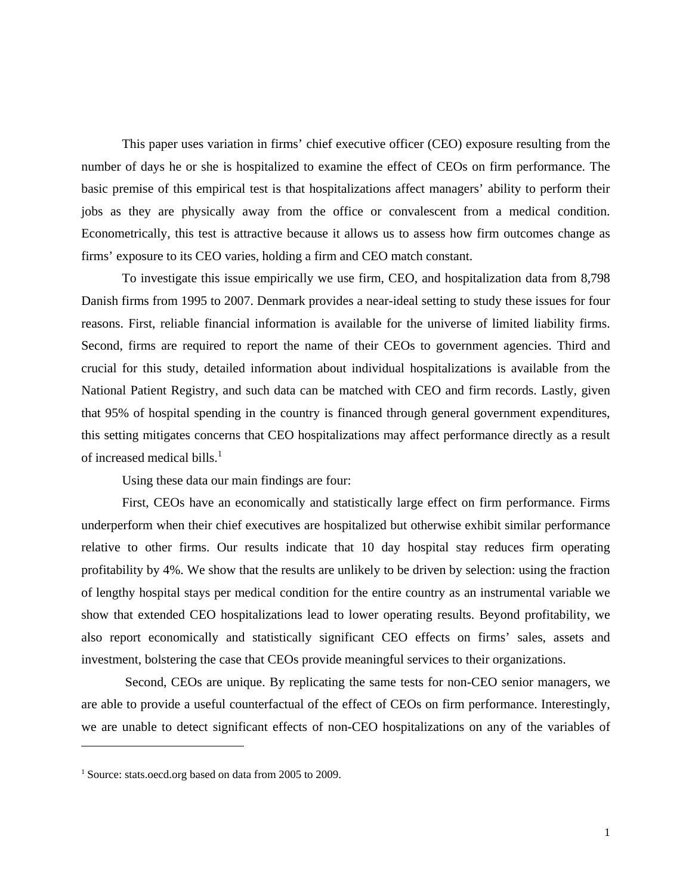This paper uses variation in firms' chief executive officer (CEO) exposure resulting from the number of days he or she is hospitalized to examine the effect of CEOs on firm performance. The basic premise of this empirical test is that hospitalizations affect managers' ability to perform their jobs as they are physically away from the office or convalescent from a medical condition. Econometrically, this test is attractive because it allows us to assess how firm outcomes change as firms' exposure to its CEO varies, holding a firm and CEO match constant.

To investigate this issue empirically we use firm, CEO, and hospitalization data from 8,798 Danish firms from 1995 to 2007. Denmark provides a near-ideal setting to study these issues for four reasons. First, reliable financial information is available for the universe of limited liability firms. Second, firms are required to report the name of their CEOs to government agencies. Third and crucial for this study, detailed information about individual hospitalizations is available from the National Patient Registry, and such data can be matched with CEO and firm records. Lastly, given that 95% of hospital spending in the country is financed through general government expenditures, this setting mitigates concerns that CEO hospitalizations may affect performance directly as a result of increased medical bills.<sup>1</sup>

Using these data our main findings are four:

First, CEOs have an economically and statistically large effect on firm performance. Firms underperform when their chief executives are hospitalized but otherwise exhibit similar performance relative to other firms. Our results indicate that 10 day hospital stay reduces firm operating profitability by 4%. We show that the results are unlikely to be driven by selection: using the fraction of lengthy hospital stays per medical condition for the entire country as an instrumental variable we show that extended CEO hospitalizations lead to lower operating results. Beyond profitability, we also report economically and statistically significant CEO effects on firms' sales, assets and investment, bolstering the case that CEOs provide meaningful services to their organizations.

 Second, CEOs are unique. By replicating the same tests for non-CEO senior managers, we are able to provide a useful counterfactual of the effect of CEOs on firm performance. Interestingly, we are unable to detect significant effects of non-CEO hospitalizations on any of the variables of

<sup>&</sup>lt;sup>1</sup> Source: stats.oecd.org based on data from 2005 to 2009.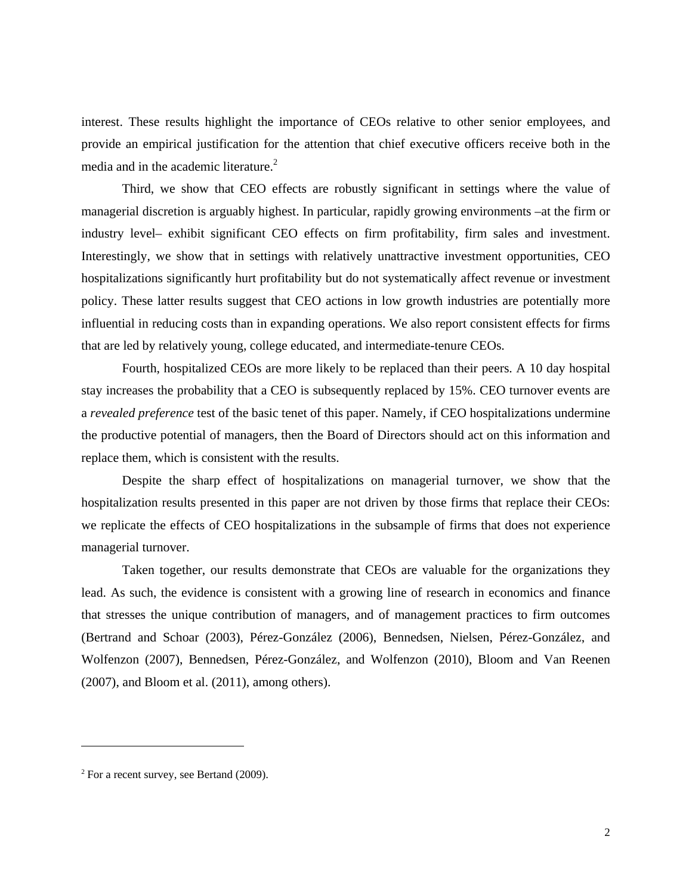interest. These results highlight the importance of CEOs relative to other senior employees, and provide an empirical justification for the attention that chief executive officers receive both in the media and in the academic literature.<sup>2</sup>

Third, we show that CEO effects are robustly significant in settings where the value of managerial discretion is arguably highest. In particular, rapidly growing environments –at the firm or industry level– exhibit significant CEO effects on firm profitability, firm sales and investment. Interestingly, we show that in settings with relatively unattractive investment opportunities, CEO hospitalizations significantly hurt profitability but do not systematically affect revenue or investment policy. These latter results suggest that CEO actions in low growth industries are potentially more influential in reducing costs than in expanding operations. We also report consistent effects for firms that are led by relatively young, college educated, and intermediate-tenure CEOs.

Fourth, hospitalized CEOs are more likely to be replaced than their peers. A 10 day hospital stay increases the probability that a CEO is subsequently replaced by 15%. CEO turnover events are a *revealed preference* test of the basic tenet of this paper. Namely, if CEO hospitalizations undermine the productive potential of managers, then the Board of Directors should act on this information and replace them, which is consistent with the results.

Despite the sharp effect of hospitalizations on managerial turnover, we show that the hospitalization results presented in this paper are not driven by those firms that replace their CEOs: we replicate the effects of CEO hospitalizations in the subsample of firms that does not experience managerial turnover.

Taken together, our results demonstrate that CEOs are valuable for the organizations they lead. As such, the evidence is consistent with a growing line of research in economics and finance that stresses the unique contribution of managers, and of management practices to firm outcomes (Bertrand and Schoar (2003), Pérez-González (2006), Bennedsen, Nielsen, Pérez-González, and Wolfenzon (2007), Bennedsen, Pérez-González, and Wolfenzon (2010), Bloom and Van Reenen (2007), and Bloom et al. (2011), among others).

 $2$  For a recent survey, see Bertand (2009).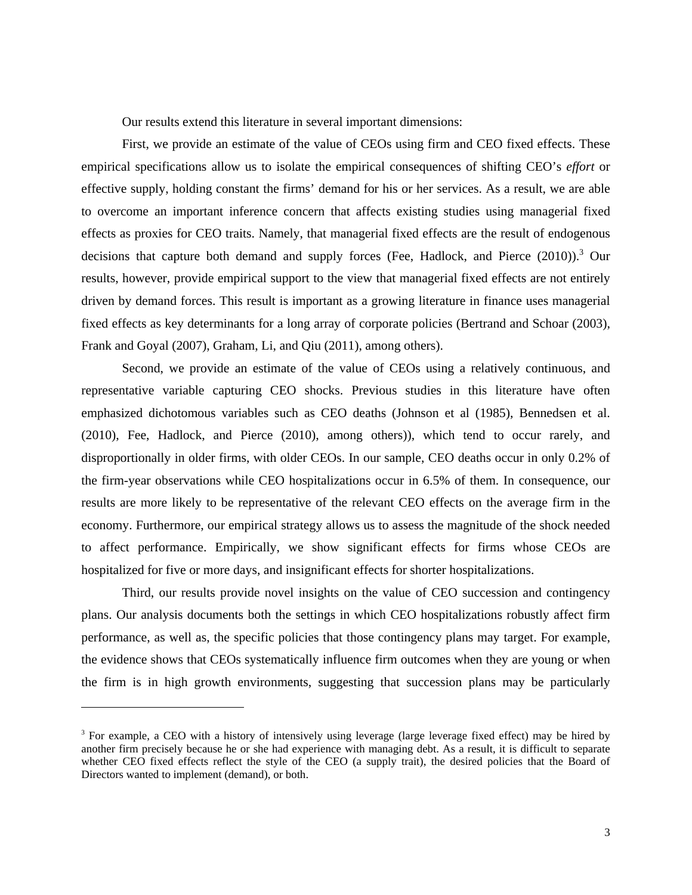Our results extend this literature in several important dimensions:

First, we provide an estimate of the value of CEOs using firm and CEO fixed effects. These empirical specifications allow us to isolate the empirical consequences of shifting CEO's *effort* or effective supply, holding constant the firms' demand for his or her services. As a result, we are able to overcome an important inference concern that affects existing studies using managerial fixed effects as proxies for CEO traits. Namely, that managerial fixed effects are the result of endogenous decisions that capture both demand and supply forces (Fee, Hadlock, and Pierce  $(2010)$ ).<sup>3</sup> Our results, however, provide empirical support to the view that managerial fixed effects are not entirely driven by demand forces. This result is important as a growing literature in finance uses managerial fixed effects as key determinants for a long array of corporate policies (Bertrand and Schoar (2003), Frank and Goyal (2007), Graham, Li, and Qiu (2011), among others).

Second, we provide an estimate of the value of CEOs using a relatively continuous, and representative variable capturing CEO shocks. Previous studies in this literature have often emphasized dichotomous variables such as CEO deaths (Johnson et al (1985), Bennedsen et al. (2010), Fee, Hadlock, and Pierce (2010), among others)), which tend to occur rarely, and disproportionally in older firms, with older CEOs. In our sample, CEO deaths occur in only 0.2% of the firm-year observations while CEO hospitalizations occur in 6.5% of them. In consequence, our results are more likely to be representative of the relevant CEO effects on the average firm in the economy. Furthermore, our empirical strategy allows us to assess the magnitude of the shock needed to affect performance. Empirically, we show significant effects for firms whose CEOs are hospitalized for five or more days, and insignificant effects for shorter hospitalizations.

Third, our results provide novel insights on the value of CEO succession and contingency plans. Our analysis documents both the settings in which CEO hospitalizations robustly affect firm performance, as well as, the specific policies that those contingency plans may target. For example, the evidence shows that CEOs systematically influence firm outcomes when they are young or when the firm is in high growth environments, suggesting that succession plans may be particularly

<sup>&</sup>lt;sup>3</sup> For example, a CEO with a history of intensively using leverage (large leverage fixed effect) may be hired by another firm precisely because he or she had experience with managing debt. As a result, it is difficult to separate whether CEO fixed effects reflect the style of the CEO (a supply trait), the desired policies that the Board of Directors wanted to implement (demand), or both.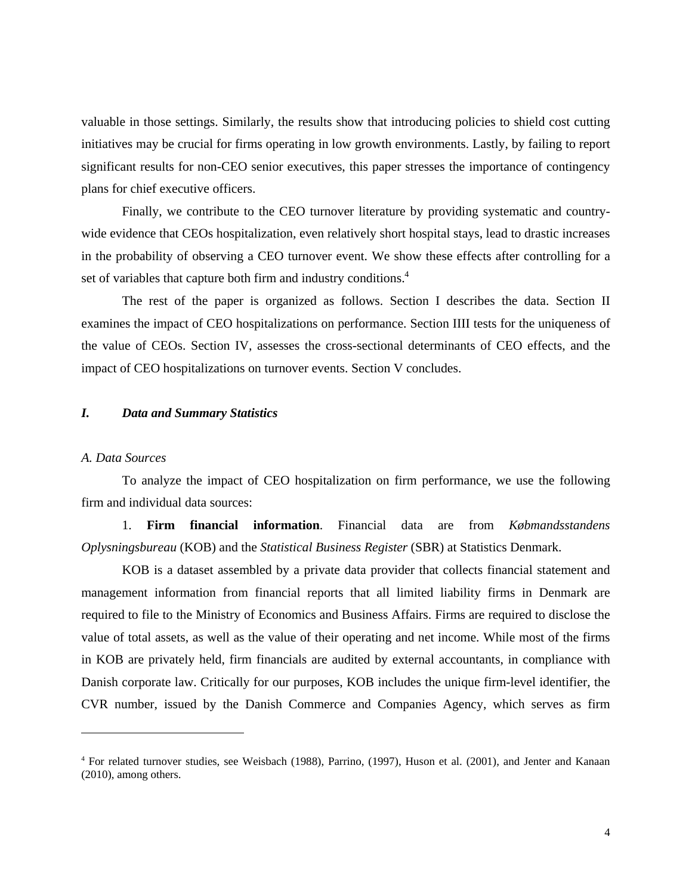valuable in those settings. Similarly, the results show that introducing policies to shield cost cutting initiatives may be crucial for firms operating in low growth environments. Lastly, by failing to report significant results for non-CEO senior executives, this paper stresses the importance of contingency plans for chief executive officers.

Finally, we contribute to the CEO turnover literature by providing systematic and countrywide evidence that CEOs hospitalization, even relatively short hospital stays, lead to drastic increases in the probability of observing a CEO turnover event. We show these effects after controlling for a set of variables that capture both firm and industry conditions.<sup>4</sup>

The rest of the paper is organized as follows. Section I describes the data. Section II examines the impact of CEO hospitalizations on performance. Section IIII tests for the uniqueness of the value of CEOs. Section IV, assesses the cross-sectional determinants of CEO effects, and the impact of CEO hospitalizations on turnover events. Section V concludes.

## *I. Data and Summary Statistics*

## *A. Data Sources*

 $\overline{a}$ 

To analyze the impact of CEO hospitalization on firm performance, we use the following firm and individual data sources:

1. **Firm financial information**. Financial data are from *Købmandsstandens Oplysningsbureau* (KOB) and the *Statistical Business Register* (SBR) at Statistics Denmark.

KOB is a dataset assembled by a private data provider that collects financial statement and management information from financial reports that all limited liability firms in Denmark are required to file to the Ministry of Economics and Business Affairs. Firms are required to disclose the value of total assets, as well as the value of their operating and net income. While most of the firms in KOB are privately held, firm financials are audited by external accountants, in compliance with Danish corporate law. Critically for our purposes, KOB includes the unique firm-level identifier, the CVR number, issued by the Danish Commerce and Companies Agency, which serves as firm

<sup>4</sup> For related turnover studies, see Weisbach (1988), Parrino, (1997), Huson et al. (2001), and Jenter and Kanaan (2010), among others.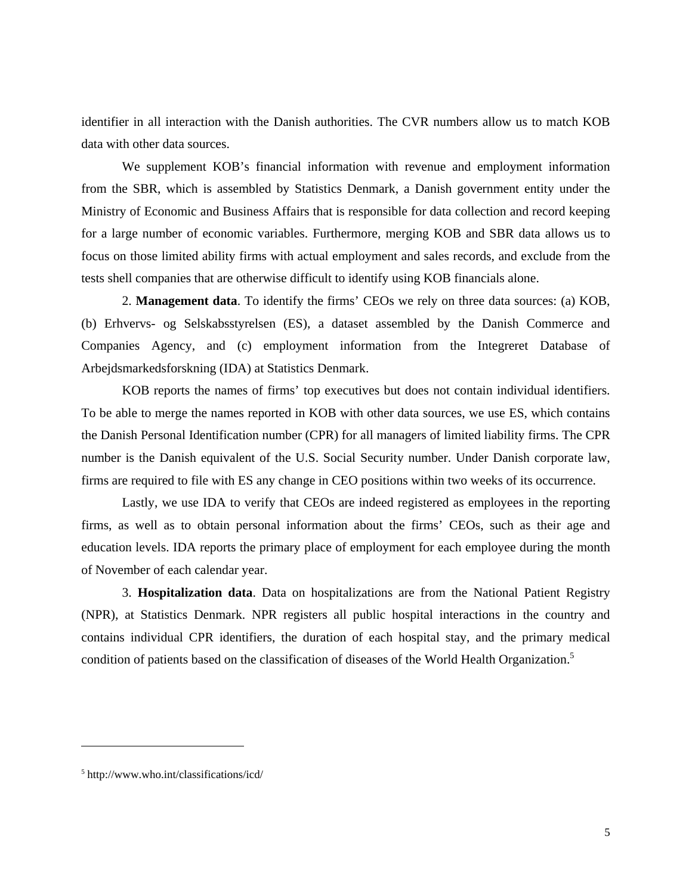identifier in all interaction with the Danish authorities. The CVR numbers allow us to match KOB data with other data sources.

We supplement KOB's financial information with revenue and employment information from the SBR, which is assembled by Statistics Denmark, a Danish government entity under the Ministry of Economic and Business Affairs that is responsible for data collection and record keeping for a large number of economic variables. Furthermore, merging KOB and SBR data allows us to focus on those limited ability firms with actual employment and sales records, and exclude from the tests shell companies that are otherwise difficult to identify using KOB financials alone.

2. **Management data**. To identify the firms' CEOs we rely on three data sources: (a) KOB, (b) Erhvervs- og Selskabsstyrelsen (ES), a dataset assembled by the Danish Commerce and Companies Agency, and (c) employment information from the Integreret Database of Arbejdsmarkedsforskning (IDA) at Statistics Denmark.

KOB reports the names of firms' top executives but does not contain individual identifiers. To be able to merge the names reported in KOB with other data sources, we use ES, which contains the Danish Personal Identification number (CPR) for all managers of limited liability firms. The CPR number is the Danish equivalent of the U.S. Social Security number. Under Danish corporate law, firms are required to file with ES any change in CEO positions within two weeks of its occurrence.

Lastly, we use IDA to verify that CEOs are indeed registered as employees in the reporting firms, as well as to obtain personal information about the firms' CEOs, such as their age and education levels. IDA reports the primary place of employment for each employee during the month of November of each calendar year.

3. **Hospitalization data**. Data on hospitalizations are from the National Patient Registry (NPR), at Statistics Denmark. NPR registers all public hospital interactions in the country and contains individual CPR identifiers, the duration of each hospital stay, and the primary medical condition of patients based on the classification of diseases of the World Health Organization.<sup>5</sup>

<sup>5</sup> http://www.who.int/classifications/icd/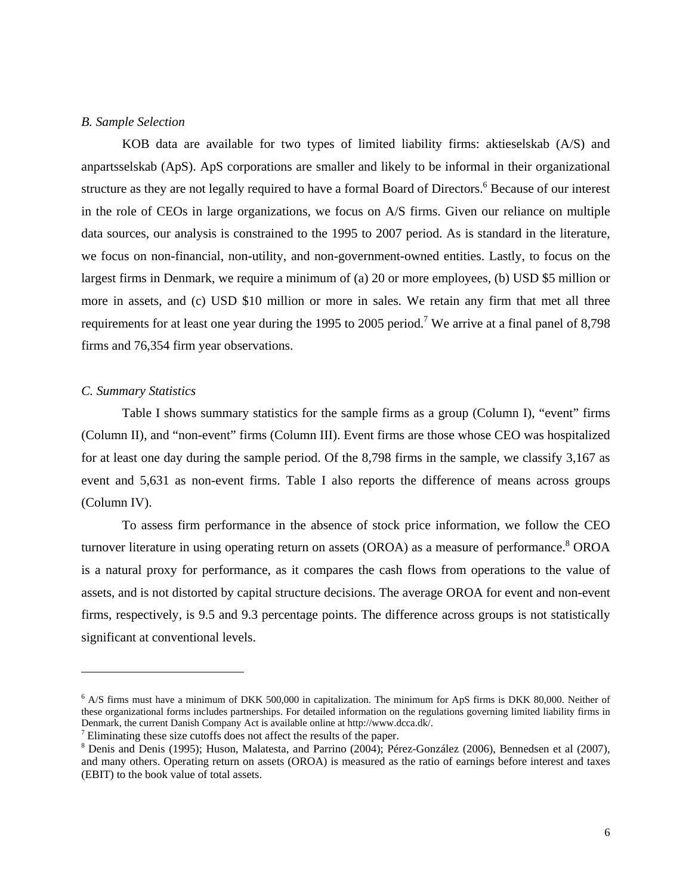### *B. Sample Selection*

KOB data are available for two types of limited liability firms: aktieselskab (A/S) and anpartsselskab (ApS). ApS corporations are smaller and likely to be informal in their organizational structure as they are not legally required to have a formal Board of Directors.<sup>6</sup> Because of our interest in the role of CEOs in large organizations, we focus on A/S firms. Given our reliance on multiple data sources, our analysis is constrained to the 1995 to 2007 period. As is standard in the literature, we focus on non-financial, non-utility, and non-government-owned entities. Lastly, to focus on the largest firms in Denmark, we require a minimum of (a) 20 or more employees, (b) USD \$5 million or more in assets, and (c) USD \$10 million or more in sales. We retain any firm that met all three requirements for at least one year during the 1995 to 2005 period.<sup>7</sup> We arrive at a final panel of 8,798 firms and 76,354 firm year observations.

## *C. Summary Statistics*

 $\overline{a}$ 

Table I shows summary statistics for the sample firms as a group (Column I), "event" firms (Column II), and "non-event" firms (Column III). Event firms are those whose CEO was hospitalized for at least one day during the sample period. Of the 8,798 firms in the sample, we classify 3,167 as event and 5,631 as non-event firms. Table I also reports the difference of means across groups (Column IV).

To assess firm performance in the absence of stock price information, we follow the CEO turnover literature in using operating return on assets (OROA) as a measure of performance.<sup>8</sup> OROA is a natural proxy for performance, as it compares the cash flows from operations to the value of assets, and is not distorted by capital structure decisions. The average OROA for event and non-event firms, respectively, is 9.5 and 9.3 percentage points. The difference across groups is not statistically significant at conventional levels.

<sup>&</sup>lt;sup>6</sup> A/S firms must have a minimum of DKK 500,000 in capitalization. The minimum for ApS firms is DKK 80,000. Neither of these organizational forms includes partnerships. For detailed information on the regulations governing limited liability firms in Denmark, the current Danish Company Act is available online at http://www.dcca.dk/.

<sup>&</sup>lt;sup>7</sup> Eliminating these size cutoffs does not affect the results of the paper.<br><sup>8</sup> Denis and Denis (1995); Huson, Malatesta, and Parrino (2004); Pérez-González (2006), Bennedsen et al (2007), and many others. Operating return on assets (OROA) is measured as the ratio of earnings before interest and taxes (EBIT) to the book value of total assets.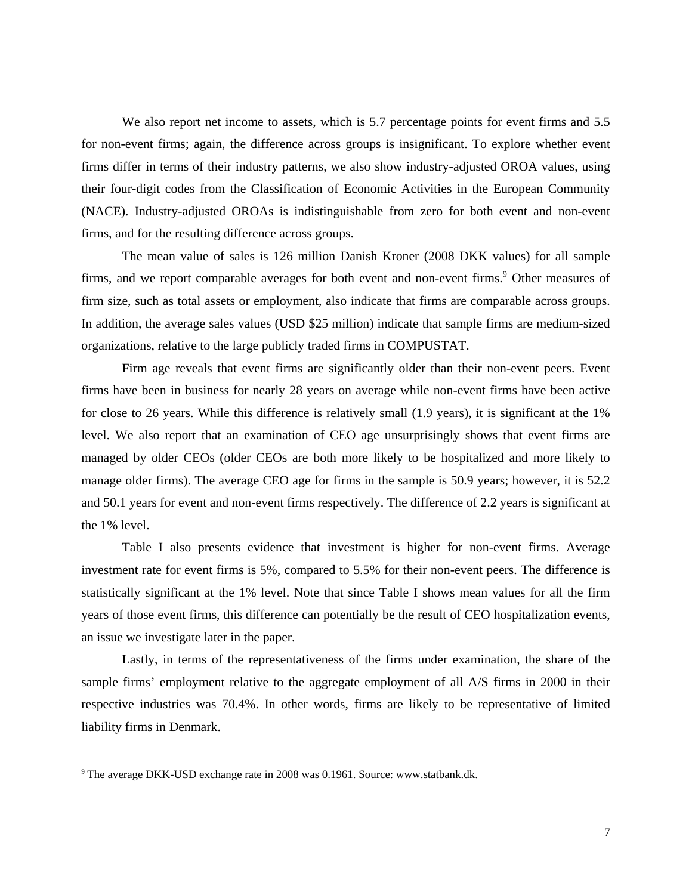We also report net income to assets, which is 5.7 percentage points for event firms and 5.5 for non-event firms; again, the difference across groups is insignificant. To explore whether event firms differ in terms of their industry patterns, we also show industry-adjusted OROA values, using their four-digit codes from the Classification of Economic Activities in the European Community (NACE). Industry-adjusted OROAs is indistinguishable from zero for both event and non-event firms, and for the resulting difference across groups.

The mean value of sales is 126 million Danish Kroner (2008 DKK values) for all sample firms, and we report comparable averages for both event and non-event firms.<sup>9</sup> Other measures of firm size, such as total assets or employment, also indicate that firms are comparable across groups. In addition, the average sales values (USD \$25 million) indicate that sample firms are medium-sized organizations, relative to the large publicly traded firms in COMPUSTAT.

Firm age reveals that event firms are significantly older than their non-event peers. Event firms have been in business for nearly 28 years on average while non-event firms have been active for close to 26 years. While this difference is relatively small (1.9 years), it is significant at the 1% level. We also report that an examination of CEO age unsurprisingly shows that event firms are managed by older CEOs (older CEOs are both more likely to be hospitalized and more likely to manage older firms). The average CEO age for firms in the sample is 50.9 years; however, it is 52.2 and 50.1 years for event and non-event firms respectively. The difference of 2.2 years is significant at the 1% level.

Table I also presents evidence that investment is higher for non-event firms. Average investment rate for event firms is 5%, compared to 5.5% for their non-event peers. The difference is statistically significant at the 1% level. Note that since Table I shows mean values for all the firm years of those event firms, this difference can potentially be the result of CEO hospitalization events, an issue we investigate later in the paper.

Lastly, in terms of the representativeness of the firms under examination, the share of the sample firms' employment relative to the aggregate employment of all A/S firms in 2000 in their respective industries was 70.4%. In other words, firms are likely to be representative of limited liability firms in Denmark.

<sup>&</sup>lt;sup>9</sup> The average DKK-USD exchange rate in 2008 was 0.1961. Source: www.statbank.dk.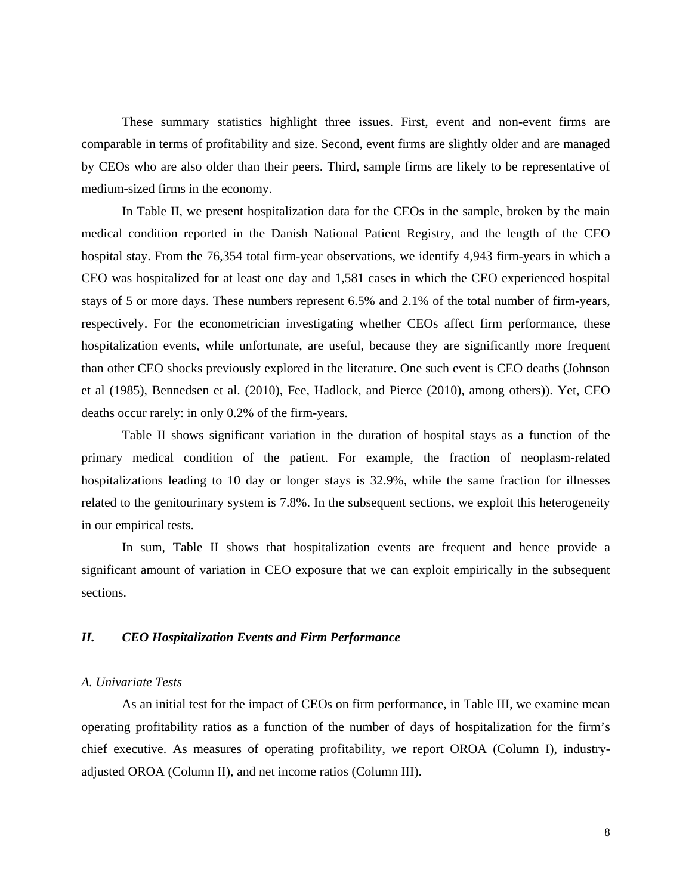These summary statistics highlight three issues. First, event and non-event firms are comparable in terms of profitability and size. Second, event firms are slightly older and are managed by CEOs who are also older than their peers. Third, sample firms are likely to be representative of medium-sized firms in the economy.

In Table II, we present hospitalization data for the CEOs in the sample, broken by the main medical condition reported in the Danish National Patient Registry, and the length of the CEO hospital stay. From the 76,354 total firm-year observations, we identify 4,943 firm-years in which a CEO was hospitalized for at least one day and 1,581 cases in which the CEO experienced hospital stays of 5 or more days. These numbers represent 6.5% and 2.1% of the total number of firm-years, respectively. For the econometrician investigating whether CEOs affect firm performance, these hospitalization events, while unfortunate, are useful, because they are significantly more frequent than other CEO shocks previously explored in the literature. One such event is CEO deaths (Johnson et al (1985), Bennedsen et al. (2010), Fee, Hadlock, and Pierce (2010), among others)). Yet, CEO deaths occur rarely: in only 0.2% of the firm-years.

Table II shows significant variation in the duration of hospital stays as a function of the primary medical condition of the patient. For example, the fraction of neoplasm-related hospitalizations leading to 10 day or longer stays is 32.9%, while the same fraction for illnesses related to the genitourinary system is 7.8%. In the subsequent sections, we exploit this heterogeneity in our empirical tests.

In sum, Table II shows that hospitalization events are frequent and hence provide a significant amount of variation in CEO exposure that we can exploit empirically in the subsequent sections.

## *II. CEO Hospitalization Events and Firm Performance*

## *A. Univariate Tests*

As an initial test for the impact of CEOs on firm performance, in Table III, we examine mean operating profitability ratios as a function of the number of days of hospitalization for the firm's chief executive. As measures of operating profitability, we report OROA (Column I), industryadjusted OROA (Column II), and net income ratios (Column III).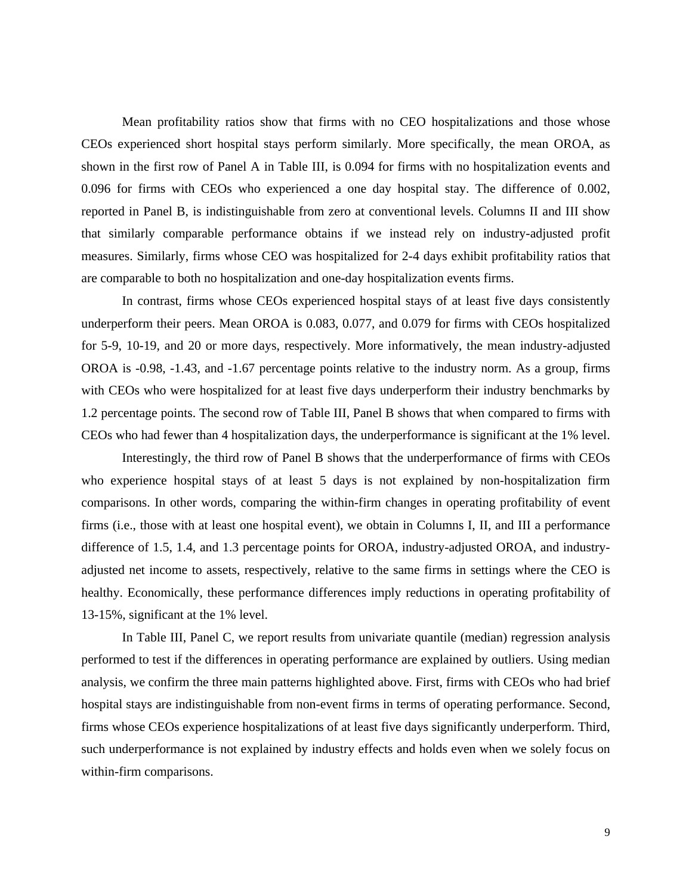Mean profitability ratios show that firms with no CEO hospitalizations and those whose CEOs experienced short hospital stays perform similarly. More specifically, the mean OROA, as shown in the first row of Panel A in Table III, is 0.094 for firms with no hospitalization events and 0.096 for firms with CEOs who experienced a one day hospital stay. The difference of 0.002, reported in Panel B, is indistinguishable from zero at conventional levels. Columns II and III show that similarly comparable performance obtains if we instead rely on industry-adjusted profit measures. Similarly, firms whose CEO was hospitalized for 2-4 days exhibit profitability ratios that are comparable to both no hospitalization and one-day hospitalization events firms.

In contrast, firms whose CEOs experienced hospital stays of at least five days consistently underperform their peers. Mean OROA is 0.083, 0.077, and 0.079 for firms with CEOs hospitalized for 5-9, 10-19, and 20 or more days, respectively. More informatively, the mean industry-adjusted OROA is -0.98, -1.43, and -1.67 percentage points relative to the industry norm. As a group, firms with CEOs who were hospitalized for at least five days underperform their industry benchmarks by 1.2 percentage points. The second row of Table III, Panel B shows that when compared to firms with CEOs who had fewer than 4 hospitalization days, the underperformance is significant at the 1% level.

Interestingly, the third row of Panel B shows that the underperformance of firms with CEOs who experience hospital stays of at least 5 days is not explained by non-hospitalization firm comparisons. In other words, comparing the within-firm changes in operating profitability of event firms (i.e., those with at least one hospital event), we obtain in Columns I, II, and III a performance difference of 1.5, 1.4, and 1.3 percentage points for OROA, industry-adjusted OROA, and industryadjusted net income to assets, respectively, relative to the same firms in settings where the CEO is healthy. Economically, these performance differences imply reductions in operating profitability of 13-15%, significant at the 1% level.

In Table III, Panel C, we report results from univariate quantile (median) regression analysis performed to test if the differences in operating performance are explained by outliers. Using median analysis, we confirm the three main patterns highlighted above. First, firms with CEOs who had brief hospital stays are indistinguishable from non-event firms in terms of operating performance. Second, firms whose CEOs experience hospitalizations of at least five days significantly underperform. Third, such underperformance is not explained by industry effects and holds even when we solely focus on within-firm comparisons.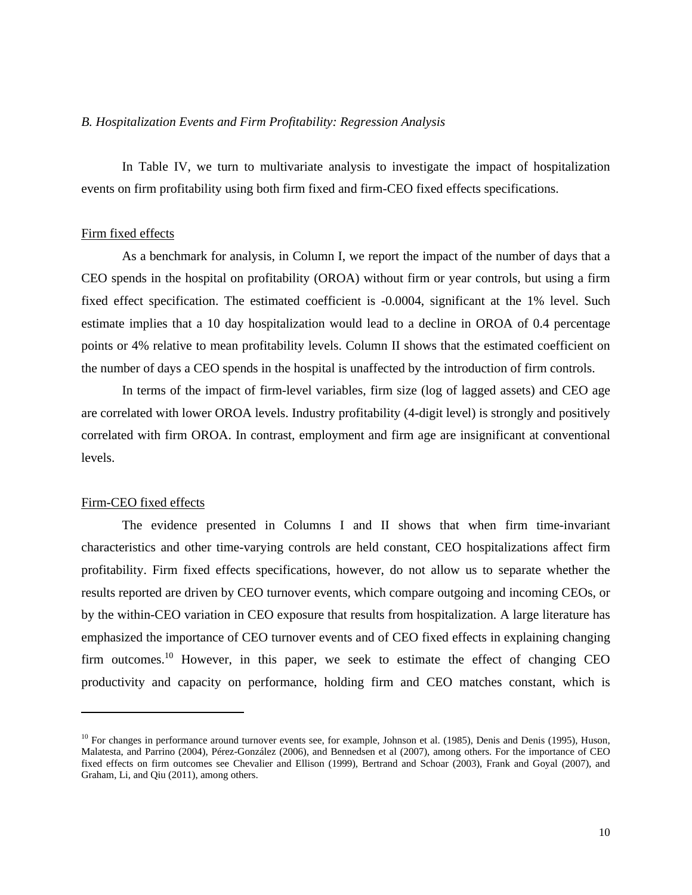### *B. Hospitalization Events and Firm Profitability: Regression Analysis*

In Table IV, we turn to multivariate analysis to investigate the impact of hospitalization events on firm profitability using both firm fixed and firm-CEO fixed effects specifications.

## Firm fixed effects

As a benchmark for analysis, in Column I, we report the impact of the number of days that a CEO spends in the hospital on profitability (OROA) without firm or year controls, but using a firm fixed effect specification. The estimated coefficient is -0.0004, significant at the 1% level. Such estimate implies that a 10 day hospitalization would lead to a decline in OROA of 0.4 percentage points or 4% relative to mean profitability levels. Column II shows that the estimated coefficient on the number of days a CEO spends in the hospital is unaffected by the introduction of firm controls.

In terms of the impact of firm-level variables, firm size (log of lagged assets) and CEO age are correlated with lower OROA levels. Industry profitability (4-digit level) is strongly and positively correlated with firm OROA. In contrast, employment and firm age are insignificant at conventional levels.

## Firm-CEO fixed effects

 $\overline{a}$ 

The evidence presented in Columns I and II shows that when firm time-invariant characteristics and other time-varying controls are held constant, CEO hospitalizations affect firm profitability. Firm fixed effects specifications, however, do not allow us to separate whether the results reported are driven by CEO turnover events, which compare outgoing and incoming CEOs, or by the within-CEO variation in CEO exposure that results from hospitalization. A large literature has emphasized the importance of CEO turnover events and of CEO fixed effects in explaining changing firm outcomes.<sup>10</sup> However, in this paper, we seek to estimate the effect of changing CEO productivity and capacity on performance, holding firm and CEO matches constant, which is

 $10$  For changes in performance around turnover events see, for example, Johnson et al. (1985), Denis and Denis (1995), Huson, Malatesta, and Parrino (2004), Pérez-González (2006), and Bennedsen et al (2007), among others. For the importance of CEO fixed effects on firm outcomes see Chevalier and Ellison (1999), Bertrand and Schoar (2003), Frank and Goyal (2007), and Graham, Li, and Qiu (2011), among others.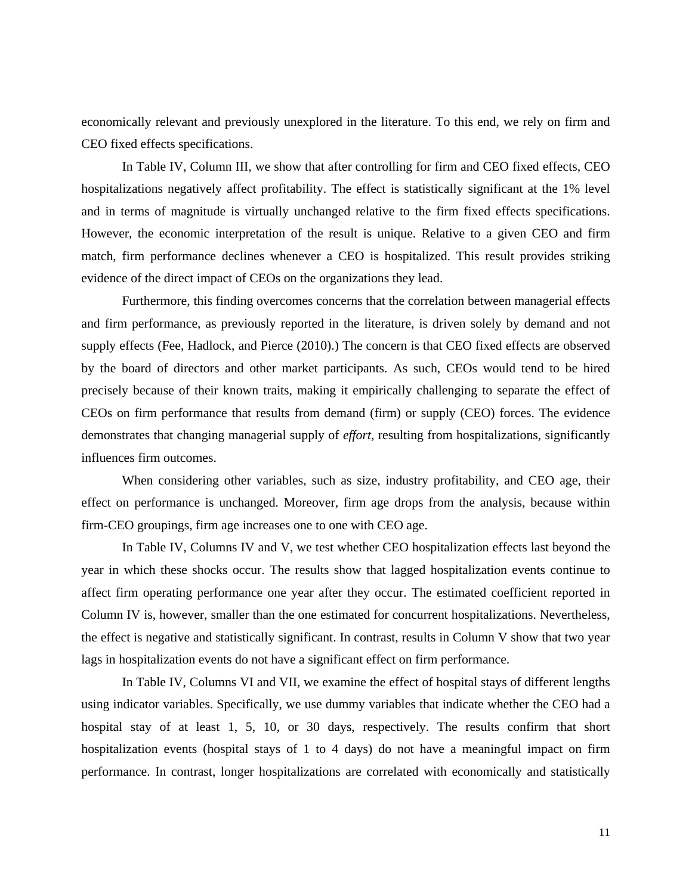economically relevant and previously unexplored in the literature. To this end, we rely on firm and CEO fixed effects specifications.

In Table IV, Column III, we show that after controlling for firm and CEO fixed effects, CEO hospitalizations negatively affect profitability. The effect is statistically significant at the 1% level and in terms of magnitude is virtually unchanged relative to the firm fixed effects specifications. However, the economic interpretation of the result is unique. Relative to a given CEO and firm match, firm performance declines whenever a CEO is hospitalized. This result provides striking evidence of the direct impact of CEOs on the organizations they lead.

Furthermore, this finding overcomes concerns that the correlation between managerial effects and firm performance, as previously reported in the literature, is driven solely by demand and not supply effects (Fee, Hadlock, and Pierce (2010).) The concern is that CEO fixed effects are observed by the board of directors and other market participants. As such, CEOs would tend to be hired precisely because of their known traits, making it empirically challenging to separate the effect of CEOs on firm performance that results from demand (firm) or supply (CEO) forces. The evidence demonstrates that changing managerial supply of *effort*, resulting from hospitalizations, significantly influences firm outcomes.

When considering other variables, such as size, industry profitability, and CEO age, their effect on performance is unchanged. Moreover, firm age drops from the analysis, because within firm-CEO groupings, firm age increases one to one with CEO age.

In Table IV, Columns IV and V, we test whether CEO hospitalization effects last beyond the year in which these shocks occur. The results show that lagged hospitalization events continue to affect firm operating performance one year after they occur. The estimated coefficient reported in Column IV is, however, smaller than the one estimated for concurrent hospitalizations. Nevertheless, the effect is negative and statistically significant. In contrast, results in Column V show that two year lags in hospitalization events do not have a significant effect on firm performance.

In Table IV, Columns VI and VII, we examine the effect of hospital stays of different lengths using indicator variables. Specifically, we use dummy variables that indicate whether the CEO had a hospital stay of at least 1, 5, 10, or 30 days, respectively. The results confirm that short hospitalization events (hospital stays of 1 to 4 days) do not have a meaningful impact on firm performance. In contrast, longer hospitalizations are correlated with economically and statistically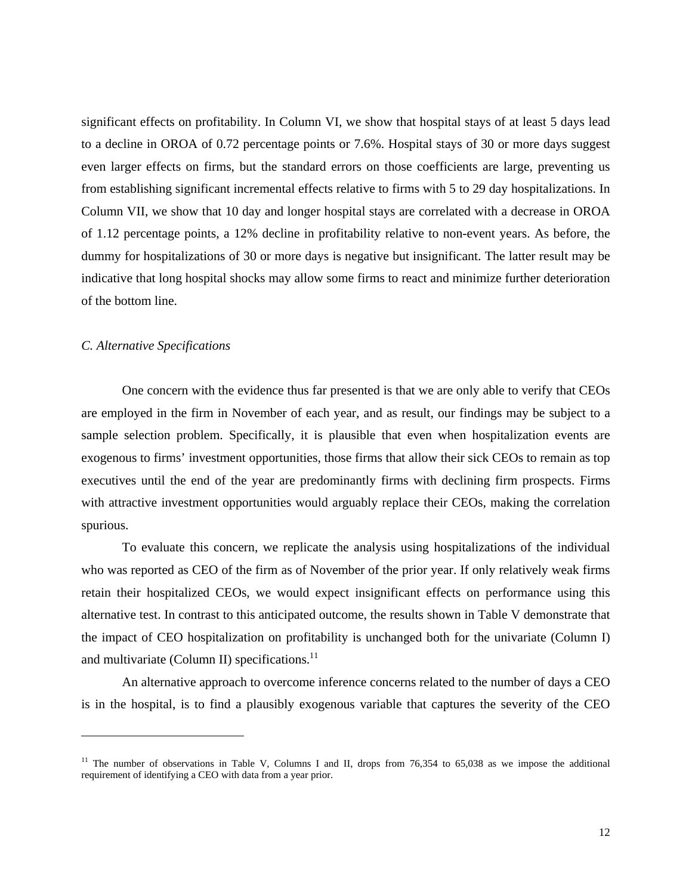significant effects on profitability. In Column VI, we show that hospital stays of at least 5 days lead to a decline in OROA of 0.72 percentage points or 7.6%. Hospital stays of 30 or more days suggest even larger effects on firms, but the standard errors on those coefficients are large, preventing us from establishing significant incremental effects relative to firms with 5 to 29 day hospitalizations. In Column VII, we show that 10 day and longer hospital stays are correlated with a decrease in OROA of 1.12 percentage points, a 12% decline in profitability relative to non-event years. As before, the dummy for hospitalizations of 30 or more days is negative but insignificant. The latter result may be indicative that long hospital shocks may allow some firms to react and minimize further deterioration of the bottom line.

## *C. Alternative Specifications*

 $\overline{a}$ 

One concern with the evidence thus far presented is that we are only able to verify that CEOs are employed in the firm in November of each year, and as result, our findings may be subject to a sample selection problem. Specifically, it is plausible that even when hospitalization events are exogenous to firms' investment opportunities, those firms that allow their sick CEOs to remain as top executives until the end of the year are predominantly firms with declining firm prospects. Firms with attractive investment opportunities would arguably replace their CEOs, making the correlation spurious.

To evaluate this concern, we replicate the analysis using hospitalizations of the individual who was reported as CEO of the firm as of November of the prior year. If only relatively weak firms retain their hospitalized CEOs, we would expect insignificant effects on performance using this alternative test. In contrast to this anticipated outcome, the results shown in Table V demonstrate that the impact of CEO hospitalization on profitability is unchanged both for the univariate (Column I) and multivariate (Column II) specifications. $^{11}$ 

An alternative approach to overcome inference concerns related to the number of days a CEO is in the hospital, is to find a plausibly exogenous variable that captures the severity of the CEO

<sup>&</sup>lt;sup>11</sup> The number of observations in Table V, Columns I and II, drops from  $76,354$  to  $65,038$  as we impose the additional requirement of identifying a CEO with data from a year prior.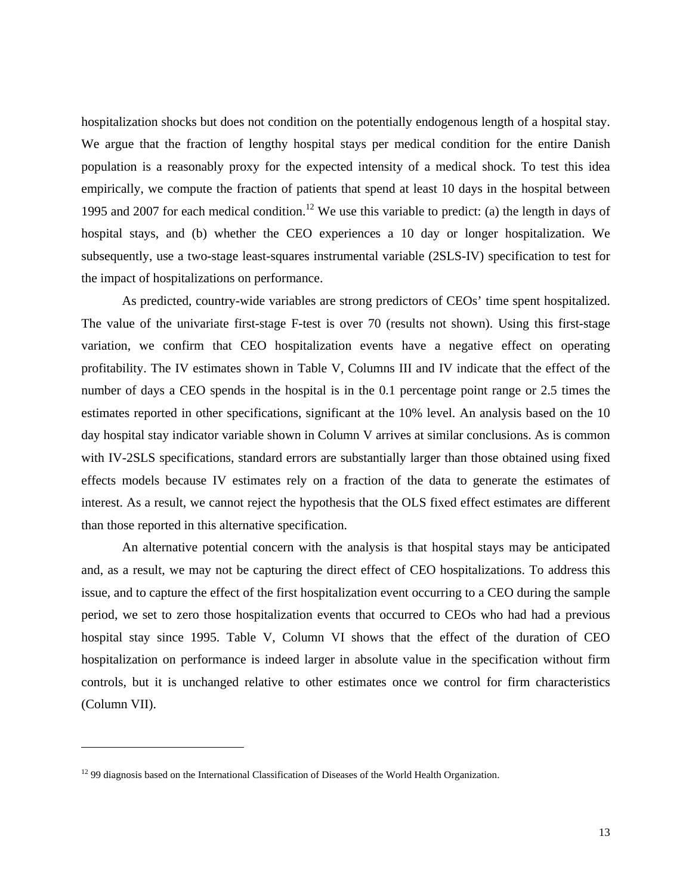hospitalization shocks but does not condition on the potentially endogenous length of a hospital stay. We argue that the fraction of lengthy hospital stays per medical condition for the entire Danish population is a reasonably proxy for the expected intensity of a medical shock. To test this idea empirically, we compute the fraction of patients that spend at least 10 days in the hospital between 1995 and 2007 for each medical condition.<sup>12</sup> We use this variable to predict: (a) the length in days of hospital stays, and (b) whether the CEO experiences a 10 day or longer hospitalization. We subsequently, use a two-stage least-squares instrumental variable (2SLS-IV) specification to test for the impact of hospitalizations on performance.

As predicted, country-wide variables are strong predictors of CEOs' time spent hospitalized. The value of the univariate first-stage F-test is over 70 (results not shown). Using this first-stage variation, we confirm that CEO hospitalization events have a negative effect on operating profitability. The IV estimates shown in Table V, Columns III and IV indicate that the effect of the number of days a CEO spends in the hospital is in the 0.1 percentage point range or 2.5 times the estimates reported in other specifications, significant at the 10% level. An analysis based on the 10 day hospital stay indicator variable shown in Column V arrives at similar conclusions. As is common with IV-2SLS specifications, standard errors are substantially larger than those obtained using fixed effects models because IV estimates rely on a fraction of the data to generate the estimates of interest. As a result, we cannot reject the hypothesis that the OLS fixed effect estimates are different than those reported in this alternative specification.

An alternative potential concern with the analysis is that hospital stays may be anticipated and, as a result, we may not be capturing the direct effect of CEO hospitalizations. To address this issue, and to capture the effect of the first hospitalization event occurring to a CEO during the sample period, we set to zero those hospitalization events that occurred to CEOs who had had a previous hospital stay since 1995. Table V, Column VI shows that the effect of the duration of CEO hospitalization on performance is indeed larger in absolute value in the specification without firm controls, but it is unchanged relative to other estimates once we control for firm characteristics (Column VII).

<sup>&</sup>lt;sup>12</sup> 99 diagnosis based on the International Classification of Diseases of the World Health Organization.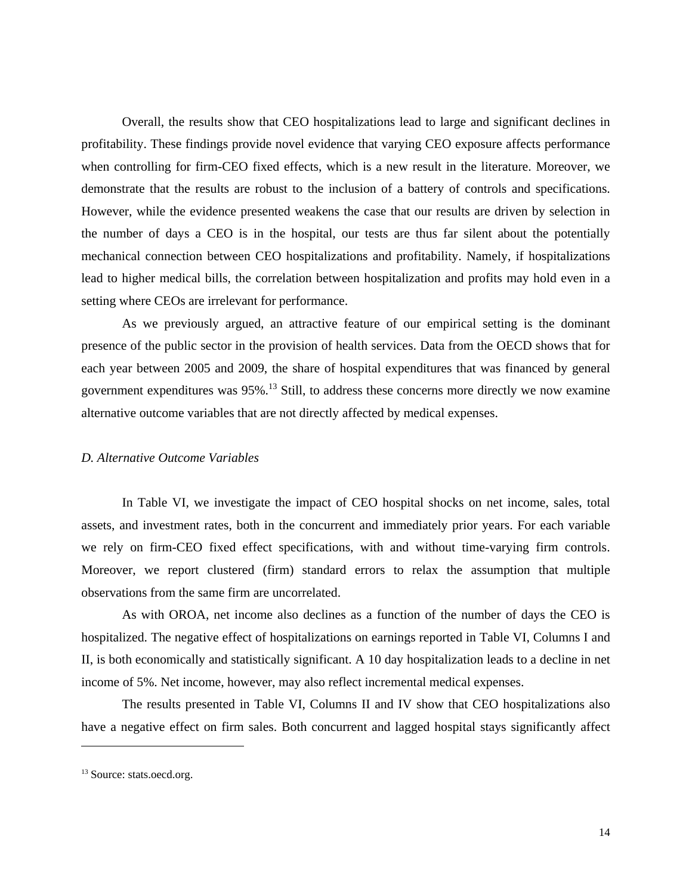Overall, the results show that CEO hospitalizations lead to large and significant declines in profitability. These findings provide novel evidence that varying CEO exposure affects performance when controlling for firm-CEO fixed effects, which is a new result in the literature. Moreover, we demonstrate that the results are robust to the inclusion of a battery of controls and specifications. However, while the evidence presented weakens the case that our results are driven by selection in the number of days a CEO is in the hospital, our tests are thus far silent about the potentially mechanical connection between CEO hospitalizations and profitability. Namely, if hospitalizations lead to higher medical bills, the correlation between hospitalization and profits may hold even in a setting where CEOs are irrelevant for performance.

As we previously argued, an attractive feature of our empirical setting is the dominant presence of the public sector in the provision of health services. Data from the OECD shows that for each year between 2005 and 2009, the share of hospital expenditures that was financed by general government expenditures was 95%.13 Still, to address these concerns more directly we now examine alternative outcome variables that are not directly affected by medical expenses.

### *D. Alternative Outcome Variables*

In Table VI, we investigate the impact of CEO hospital shocks on net income, sales, total assets, and investment rates, both in the concurrent and immediately prior years. For each variable we rely on firm-CEO fixed effect specifications, with and without time-varying firm controls. Moreover, we report clustered (firm) standard errors to relax the assumption that multiple observations from the same firm are uncorrelated.

As with OROA, net income also declines as a function of the number of days the CEO is hospitalized. The negative effect of hospitalizations on earnings reported in Table VI, Columns I and II, is both economically and statistically significant. A 10 day hospitalization leads to a decline in net income of 5%. Net income, however, may also reflect incremental medical expenses.

The results presented in Table VI, Columns II and IV show that CEO hospitalizations also have a negative effect on firm sales. Both concurrent and lagged hospital stays significantly affect

<sup>&</sup>lt;sup>13</sup> Source: stats.oecd.org.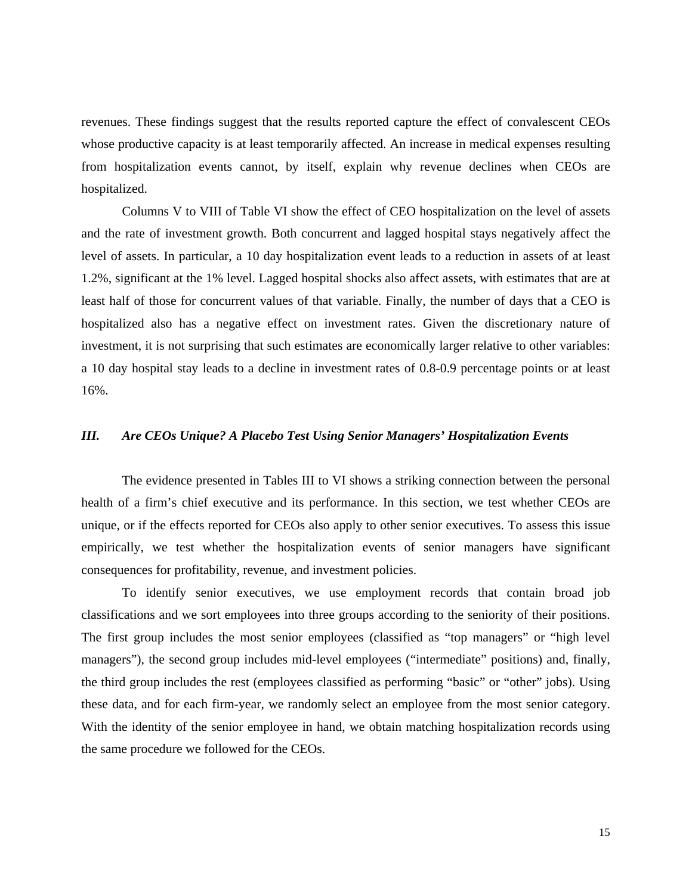revenues. These findings suggest that the results reported capture the effect of convalescent CEOs whose productive capacity is at least temporarily affected. An increase in medical expenses resulting from hospitalization events cannot, by itself, explain why revenue declines when CEOs are hospitalized.

Columns V to VIII of Table VI show the effect of CEO hospitalization on the level of assets and the rate of investment growth. Both concurrent and lagged hospital stays negatively affect the level of assets. In particular, a 10 day hospitalization event leads to a reduction in assets of at least 1.2%, significant at the 1% level. Lagged hospital shocks also affect assets, with estimates that are at least half of those for concurrent values of that variable. Finally, the number of days that a CEO is hospitalized also has a negative effect on investment rates. Given the discretionary nature of investment, it is not surprising that such estimates are economically larger relative to other variables: a 10 day hospital stay leads to a decline in investment rates of 0.8-0.9 percentage points or at least 16%.

## *III. Are CEOs Unique? A Placebo Test Using Senior Managers' Hospitalization Events*

The evidence presented in Tables III to VI shows a striking connection between the personal health of a firm's chief executive and its performance. In this section, we test whether CEOs are unique, or if the effects reported for CEOs also apply to other senior executives. To assess this issue empirically, we test whether the hospitalization events of senior managers have significant consequences for profitability, revenue, and investment policies.

To identify senior executives, we use employment records that contain broad job classifications and we sort employees into three groups according to the seniority of their positions. The first group includes the most senior employees (classified as "top managers" or "high level managers"), the second group includes mid-level employees ("intermediate" positions) and, finally, the third group includes the rest (employees classified as performing "basic" or "other" jobs). Using these data, and for each firm-year, we randomly select an employee from the most senior category. With the identity of the senior employee in hand, we obtain matching hospitalization records using the same procedure we followed for the CEOs.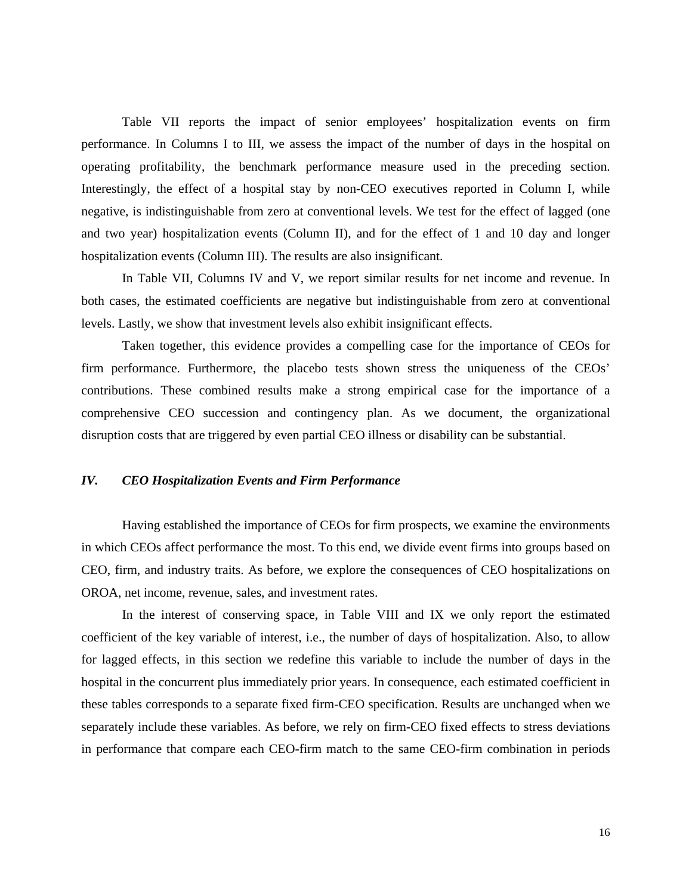Table VII reports the impact of senior employees' hospitalization events on firm performance. In Columns I to III, we assess the impact of the number of days in the hospital on operating profitability, the benchmark performance measure used in the preceding section. Interestingly, the effect of a hospital stay by non-CEO executives reported in Column I, while negative, is indistinguishable from zero at conventional levels. We test for the effect of lagged (one and two year) hospitalization events (Column II), and for the effect of 1 and 10 day and longer hospitalization events (Column III). The results are also insignificant.

In Table VII, Columns IV and V, we report similar results for net income and revenue. In both cases, the estimated coefficients are negative but indistinguishable from zero at conventional levels. Lastly, we show that investment levels also exhibit insignificant effects.

Taken together, this evidence provides a compelling case for the importance of CEOs for firm performance. Furthermore, the placebo tests shown stress the uniqueness of the CEOs' contributions. These combined results make a strong empirical case for the importance of a comprehensive CEO succession and contingency plan. As we document, the organizational disruption costs that are triggered by even partial CEO illness or disability can be substantial.

## *IV. CEO Hospitalization Events and Firm Performance*

Having established the importance of CEOs for firm prospects, we examine the environments in which CEOs affect performance the most. To this end, we divide event firms into groups based on CEO, firm, and industry traits. As before, we explore the consequences of CEO hospitalizations on OROA, net income, revenue, sales, and investment rates.

In the interest of conserving space, in Table VIII and IX we only report the estimated coefficient of the key variable of interest, i.e., the number of days of hospitalization. Also, to allow for lagged effects, in this section we redefine this variable to include the number of days in the hospital in the concurrent plus immediately prior years. In consequence, each estimated coefficient in these tables corresponds to a separate fixed firm-CEO specification. Results are unchanged when we separately include these variables. As before, we rely on firm-CEO fixed effects to stress deviations in performance that compare each CEO-firm match to the same CEO-firm combination in periods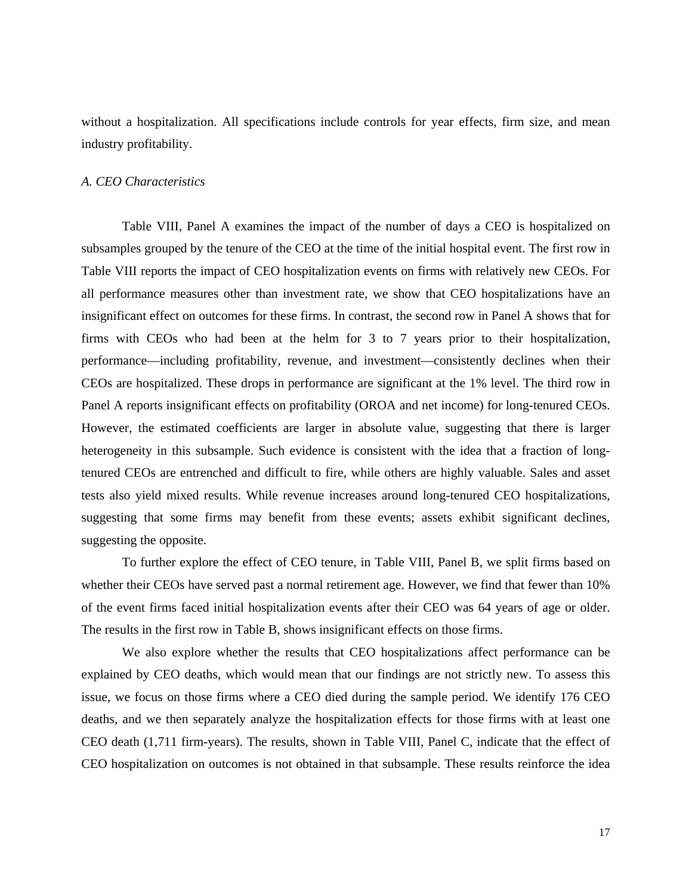without a hospitalization. All specifications include controls for year effects, firm size, and mean industry profitability.

### *A. CEO Characteristics*

Table VIII, Panel A examines the impact of the number of days a CEO is hospitalized on subsamples grouped by the tenure of the CEO at the time of the initial hospital event. The first row in Table VIII reports the impact of CEO hospitalization events on firms with relatively new CEOs. For all performance measures other than investment rate, we show that CEO hospitalizations have an insignificant effect on outcomes for these firms. In contrast, the second row in Panel A shows that for firms with CEOs who had been at the helm for 3 to 7 years prior to their hospitalization, performance—including profitability, revenue, and investment—consistently declines when their CEOs are hospitalized. These drops in performance are significant at the 1% level. The third row in Panel A reports insignificant effects on profitability (OROA and net income) for long-tenured CEOs. However, the estimated coefficients are larger in absolute value, suggesting that there is larger heterogeneity in this subsample. Such evidence is consistent with the idea that a fraction of longtenured CEOs are entrenched and difficult to fire, while others are highly valuable. Sales and asset tests also yield mixed results. While revenue increases around long-tenured CEO hospitalizations, suggesting that some firms may benefit from these events; assets exhibit significant declines, suggesting the opposite.

To further explore the effect of CEO tenure, in Table VIII, Panel B, we split firms based on whether their CEOs have served past a normal retirement age. However, we find that fewer than 10% of the event firms faced initial hospitalization events after their CEO was 64 years of age or older. The results in the first row in Table B, shows insignificant effects on those firms.

We also explore whether the results that CEO hospitalizations affect performance can be explained by CEO deaths, which would mean that our findings are not strictly new. To assess this issue, we focus on those firms where a CEO died during the sample period. We identify 176 CEO deaths, and we then separately analyze the hospitalization effects for those firms with at least one CEO death (1,711 firm-years). The results, shown in Table VIII, Panel C, indicate that the effect of CEO hospitalization on outcomes is not obtained in that subsample. These results reinforce the idea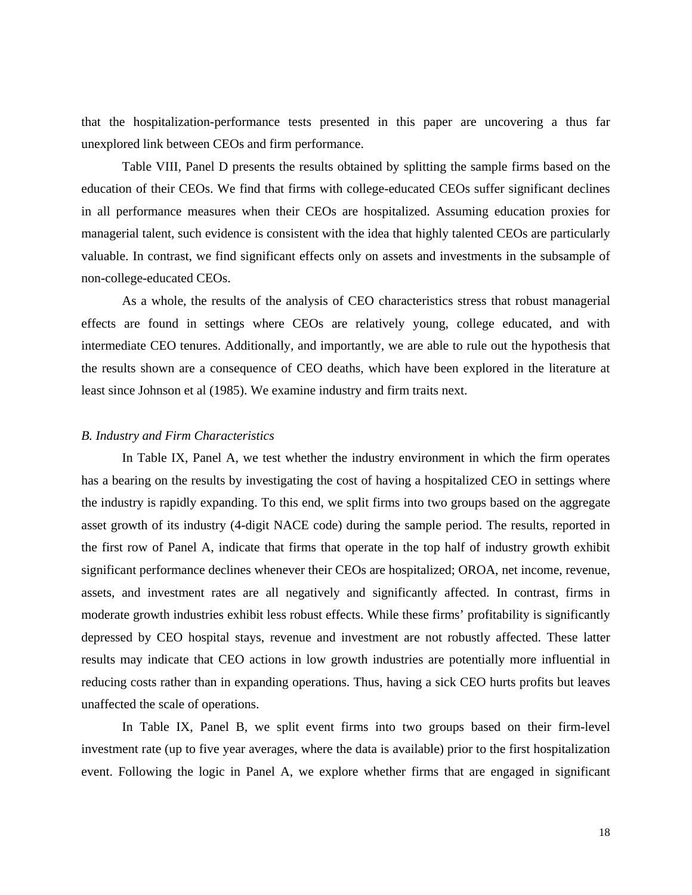that the hospitalization-performance tests presented in this paper are uncovering a thus far unexplored link between CEOs and firm performance.

Table VIII, Panel D presents the results obtained by splitting the sample firms based on the education of their CEOs. We find that firms with college-educated CEOs suffer significant declines in all performance measures when their CEOs are hospitalized. Assuming education proxies for managerial talent, such evidence is consistent with the idea that highly talented CEOs are particularly valuable. In contrast, we find significant effects only on assets and investments in the subsample of non-college-educated CEOs.

As a whole, the results of the analysis of CEO characteristics stress that robust managerial effects are found in settings where CEOs are relatively young, college educated, and with intermediate CEO tenures. Additionally, and importantly, we are able to rule out the hypothesis that the results shown are a consequence of CEO deaths, which have been explored in the literature at least since Johnson et al (1985). We examine industry and firm traits next.

## *B. Industry and Firm Characteristics*

In Table IX, Panel A, we test whether the industry environment in which the firm operates has a bearing on the results by investigating the cost of having a hospitalized CEO in settings where the industry is rapidly expanding. To this end, we split firms into two groups based on the aggregate asset growth of its industry (4-digit NACE code) during the sample period. The results, reported in the first row of Panel A, indicate that firms that operate in the top half of industry growth exhibit significant performance declines whenever their CEOs are hospitalized; OROA, net income, revenue, assets, and investment rates are all negatively and significantly affected. In contrast, firms in moderate growth industries exhibit less robust effects. While these firms' profitability is significantly depressed by CEO hospital stays, revenue and investment are not robustly affected. These latter results may indicate that CEO actions in low growth industries are potentially more influential in reducing costs rather than in expanding operations. Thus, having a sick CEO hurts profits but leaves unaffected the scale of operations.

In Table IX, Panel B, we split event firms into two groups based on their firm-level investment rate (up to five year averages, where the data is available) prior to the first hospitalization event. Following the logic in Panel A, we explore whether firms that are engaged in significant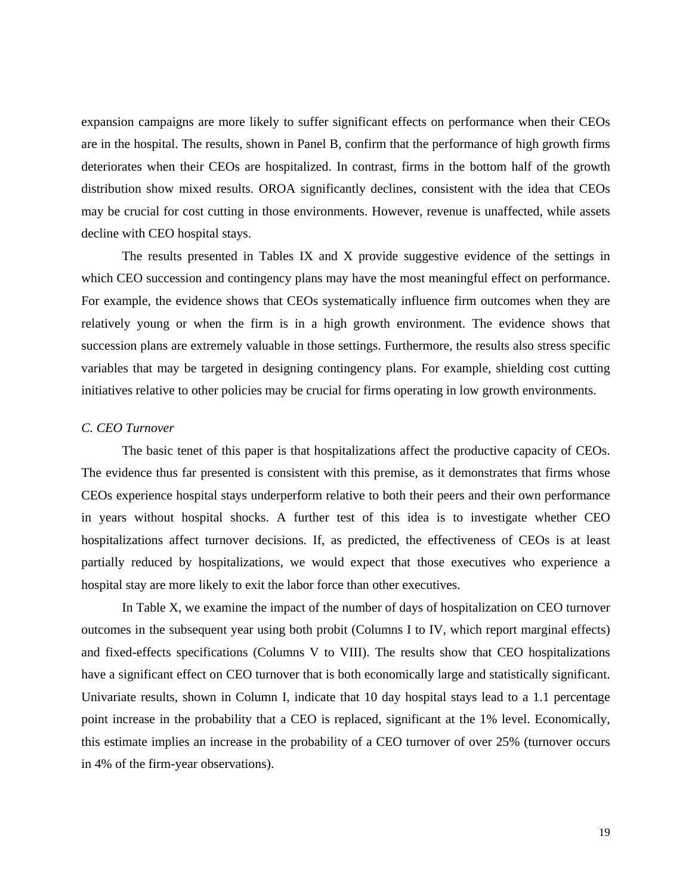expansion campaigns are more likely to suffer significant effects on performance when their CEOs are in the hospital. The results, shown in Panel B, confirm that the performance of high growth firms deteriorates when their CEOs are hospitalized. In contrast, firms in the bottom half of the growth distribution show mixed results. OROA significantly declines, consistent with the idea that CEOs may be crucial for cost cutting in those environments. However, revenue is unaffected, while assets decline with CEO hospital stays.

The results presented in Tables IX and X provide suggestive evidence of the settings in which CEO succession and contingency plans may have the most meaningful effect on performance. For example, the evidence shows that CEOs systematically influence firm outcomes when they are relatively young or when the firm is in a high growth environment. The evidence shows that succession plans are extremely valuable in those settings. Furthermore, the results also stress specific variables that may be targeted in designing contingency plans. For example, shielding cost cutting initiatives relative to other policies may be crucial for firms operating in low growth environments.

## *C. CEO Turnover*

The basic tenet of this paper is that hospitalizations affect the productive capacity of CEOs. The evidence thus far presented is consistent with this premise, as it demonstrates that firms whose CEOs experience hospital stays underperform relative to both their peers and their own performance in years without hospital shocks. A further test of this idea is to investigate whether CEO hospitalizations affect turnover decisions. If, as predicted, the effectiveness of CEOs is at least partially reduced by hospitalizations, we would expect that those executives who experience a hospital stay are more likely to exit the labor force than other executives.

In Table X, we examine the impact of the number of days of hospitalization on CEO turnover outcomes in the subsequent year using both probit (Columns I to IV, which report marginal effects) and fixed-effects specifications (Columns V to VIII). The results show that CEO hospitalizations have a significant effect on CEO turnover that is both economically large and statistically significant. Univariate results, shown in Column I, indicate that 10 day hospital stays lead to a 1.1 percentage point increase in the probability that a CEO is replaced, significant at the 1% level. Economically, this estimate implies an increase in the probability of a CEO turnover of over 25% (turnover occurs in 4% of the firm-year observations).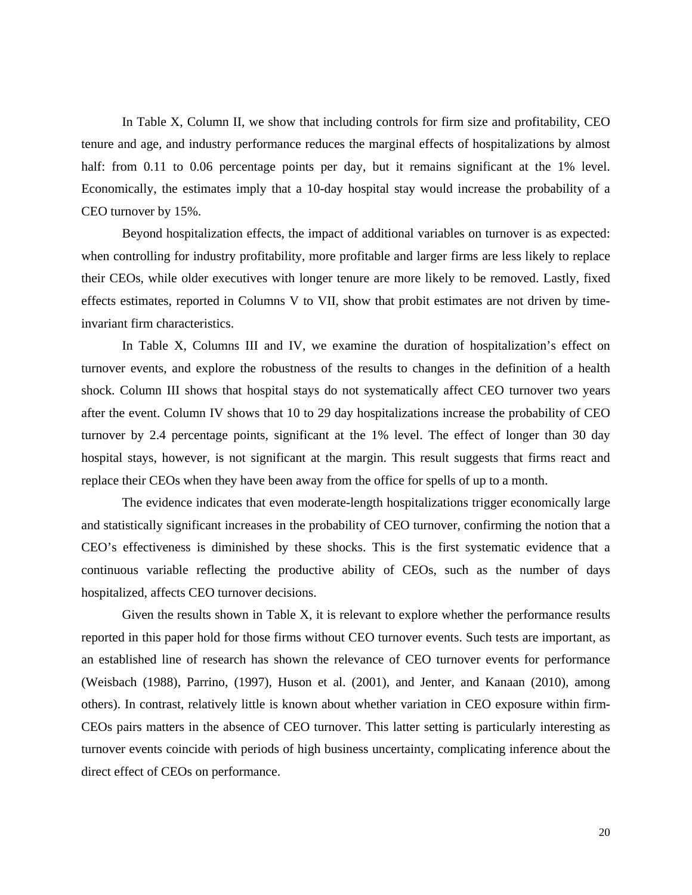In Table X, Column II, we show that including controls for firm size and profitability, CEO tenure and age, and industry performance reduces the marginal effects of hospitalizations by almost half: from 0.11 to 0.06 percentage points per day, but it remains significant at the 1% level. Economically, the estimates imply that a 10-day hospital stay would increase the probability of a CEO turnover by 15%.

Beyond hospitalization effects, the impact of additional variables on turnover is as expected: when controlling for industry profitability, more profitable and larger firms are less likely to replace their CEOs, while older executives with longer tenure are more likely to be removed. Lastly, fixed effects estimates, reported in Columns V to VII, show that probit estimates are not driven by timeinvariant firm characteristics.

In Table X, Columns III and IV, we examine the duration of hospitalization's effect on turnover events, and explore the robustness of the results to changes in the definition of a health shock. Column III shows that hospital stays do not systematically affect CEO turnover two years after the event. Column IV shows that 10 to 29 day hospitalizations increase the probability of CEO turnover by 2.4 percentage points, significant at the 1% level. The effect of longer than 30 day hospital stays, however, is not significant at the margin. This result suggests that firms react and replace their CEOs when they have been away from the office for spells of up to a month.

The evidence indicates that even moderate-length hospitalizations trigger economically large and statistically significant increases in the probability of CEO turnover, confirming the notion that a CEO's effectiveness is diminished by these shocks. This is the first systematic evidence that a continuous variable reflecting the productive ability of CEOs, such as the number of days hospitalized, affects CEO turnover decisions.

Given the results shown in Table X, it is relevant to explore whether the performance results reported in this paper hold for those firms without CEO turnover events. Such tests are important, as an established line of research has shown the relevance of CEO turnover events for performance (Weisbach (1988), Parrino, (1997), Huson et al. (2001), and Jenter, and Kanaan (2010), among others). In contrast, relatively little is known about whether variation in CEO exposure within firm-CEOs pairs matters in the absence of CEO turnover. This latter setting is particularly interesting as turnover events coincide with periods of high business uncertainty, complicating inference about the direct effect of CEOs on performance.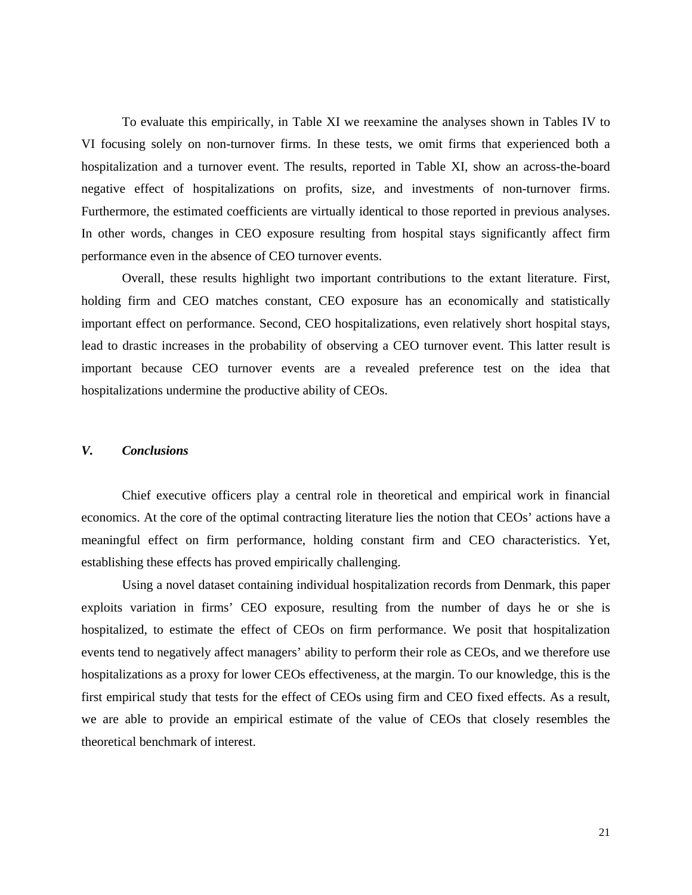To evaluate this empirically, in Table XI we reexamine the analyses shown in Tables IV to VI focusing solely on non-turnover firms. In these tests, we omit firms that experienced both a hospitalization and a turnover event. The results, reported in Table XI, show an across-the-board negative effect of hospitalizations on profits, size, and investments of non-turnover firms. Furthermore, the estimated coefficients are virtually identical to those reported in previous analyses. In other words, changes in CEO exposure resulting from hospital stays significantly affect firm performance even in the absence of CEO turnover events.

Overall, these results highlight two important contributions to the extant literature. First, holding firm and CEO matches constant, CEO exposure has an economically and statistically important effect on performance. Second, CEO hospitalizations, even relatively short hospital stays, lead to drastic increases in the probability of observing a CEO turnover event. This latter result is important because CEO turnover events are a revealed preference test on the idea that hospitalizations undermine the productive ability of CEOs.

## *V. Conclusions*

Chief executive officers play a central role in theoretical and empirical work in financial economics. At the core of the optimal contracting literature lies the notion that CEOs' actions have a meaningful effect on firm performance, holding constant firm and CEO characteristics. Yet, establishing these effects has proved empirically challenging.

Using a novel dataset containing individual hospitalization records from Denmark, this paper exploits variation in firms' CEO exposure, resulting from the number of days he or she is hospitalized, to estimate the effect of CEOs on firm performance. We posit that hospitalization events tend to negatively affect managers' ability to perform their role as CEOs, and we therefore use hospitalizations as a proxy for lower CEOs effectiveness, at the margin. To our knowledge, this is the first empirical study that tests for the effect of CEOs using firm and CEO fixed effects. As a result, we are able to provide an empirical estimate of the value of CEOs that closely resembles the theoretical benchmark of interest.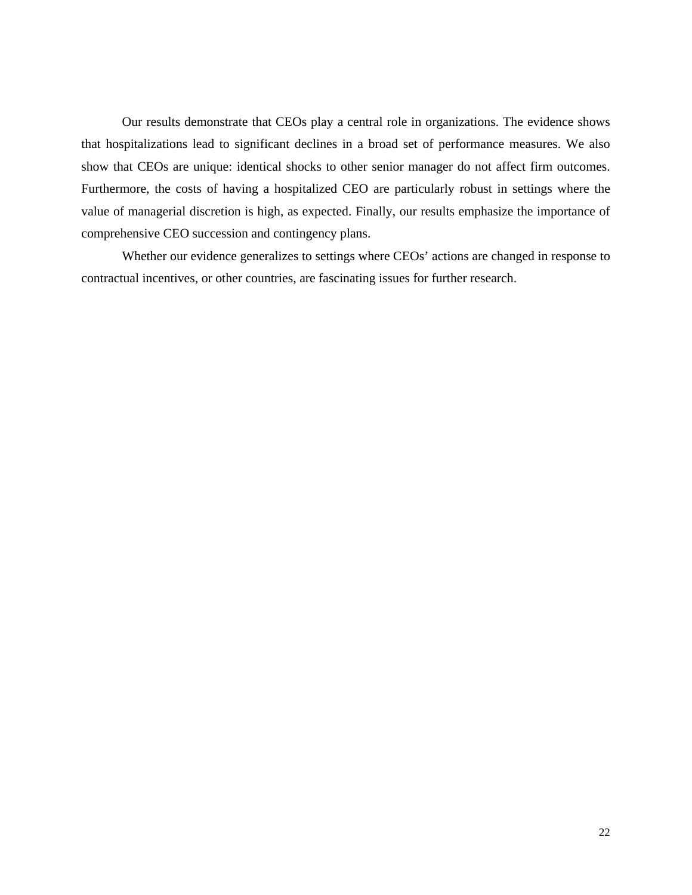Our results demonstrate that CEOs play a central role in organizations. The evidence shows that hospitalizations lead to significant declines in a broad set of performance measures. We also show that CEOs are unique: identical shocks to other senior manager do not affect firm outcomes. Furthermore, the costs of having a hospitalized CEO are particularly robust in settings where the value of managerial discretion is high, as expected. Finally, our results emphasize the importance of comprehensive CEO succession and contingency plans.

Whether our evidence generalizes to settings where CEOs' actions are changed in response to contractual incentives, or other countries, are fascinating issues for further research.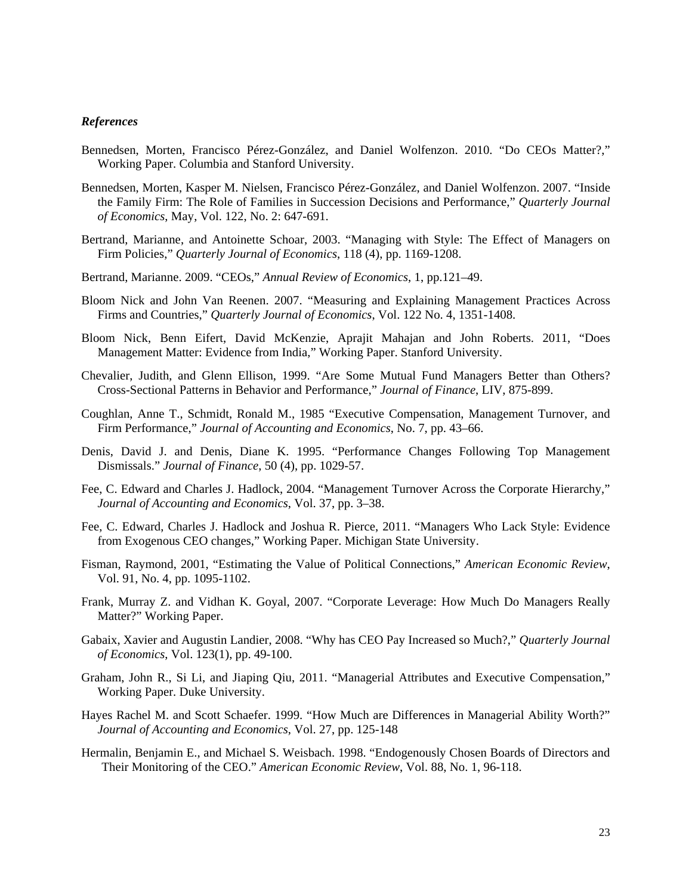#### *References*

- Bennedsen, Morten, Francisco Pérez-González, and Daniel Wolfenzon. 2010. "Do CEOs Matter?," Working Paper. Columbia and Stanford University.
- Bennedsen, Morten, Kasper M. Nielsen, Francisco Pérez-González, and Daniel Wolfenzon. 2007. "Inside the Family Firm: The Role of Families in Succession Decisions and Performance," *Quarterly Journal of Economics*, May, Vol. 122, No. 2: 647-691.
- Bertrand, Marianne, and Antoinette Schoar, 2003. "Managing with Style: The Effect of Managers on Firm Policies," *Quarterly Journal of Economics*, 118 (4), pp. 1169-1208.
- Bertrand, Marianne. 2009. "CEOs," *Annual Review of Economics*, 1, pp.121–49.
- Bloom Nick and John Van Reenen. 2007. "Measuring and Explaining Management Practices Across Firms and Countries," *Quarterly Journal of Economics*, Vol. 122 No. 4, 1351-1408.
- Bloom Nick, Benn Eifert, David McKenzie, Aprajit Mahajan and John Roberts. 2011, "Does Management Matter: Evidence from India," Working Paper. Stanford University.
- Chevalier, Judith, and Glenn Ellison, 1999. "Are Some Mutual Fund Managers Better than Others? Cross-Sectional Patterns in Behavior and Performance," *Journal of Finance*, LIV, 875-899.
- Coughlan, Anne T., Schmidt, Ronald M., 1985 "Executive Compensation, Management Turnover, and Firm Performance," *Journal of Accounting and Economics*, No. 7, pp. 43–66.
- Denis, David J. and Denis, Diane K. 1995. "Performance Changes Following Top Management Dismissals." *Journal of Finance*, 50 (4), pp. 1029-57.
- Fee, C. Edward and Charles J. Hadlock, 2004. "Management Turnover Across the Corporate Hierarchy," *Journal of Accounting and Economics*, Vol. 37, pp. 3–38.
- Fee, C. Edward, Charles J. Hadlock and Joshua R. Pierce, 2011. "Managers Who Lack Style: Evidence from Exogenous CEO changes," Working Paper. Michigan State University.
- Fisman, Raymond, 2001, "Estimating the Value of Political Connections," *American Economic Review*, Vol. 91, No. 4, pp. 1095-1102.
- Frank, Murray Z. and Vidhan K. Goyal, 2007. "Corporate Leverage: How Much Do Managers Really Matter?" Working Paper.
- Gabaix, Xavier and Augustin Landier, 2008. "Why has CEO Pay Increased so Much?," *Quarterly Journal of Economics*, Vol. 123(1), pp. 49-100.
- Graham, John R., Si Li, and Jiaping Qiu, 2011. "Managerial Attributes and Executive Compensation," Working Paper. Duke University.
- Hayes Rachel M. and Scott Schaefer. 1999. "How Much are Differences in Managerial Ability Worth?" *Journal of Accounting and Economics*, Vol. 27, pp. 125-148
- Hermalin, Benjamin E., and Michael S. Weisbach. 1998. "Endogenously Chosen Boards of Directors and Their Monitoring of the CEO." *American Economic Review*, Vol. 88, No. 1, 96-118.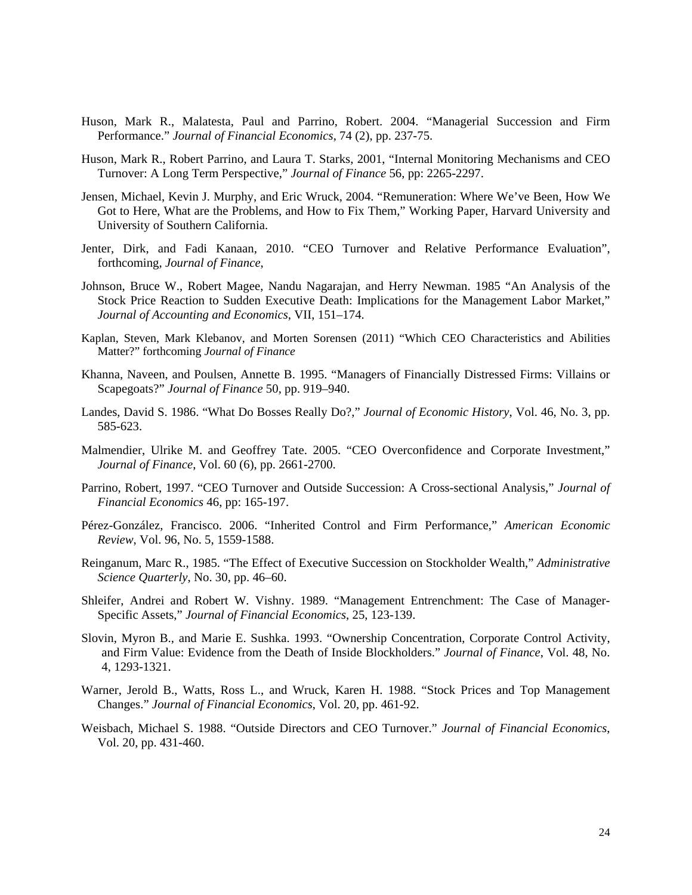- Huson, Mark R., Malatesta, Paul and Parrino, Robert. 2004. "Managerial Succession and Firm Performance." *Journal of Financial Economics*, 74 (2), pp. 237-75.
- Huson, Mark R., Robert Parrino, and Laura T. Starks, 2001, "Internal Monitoring Mechanisms and CEO Turnover: A Long Term Perspective," *Journal of Finance* 56, pp: 2265-2297.
- Jensen, Michael, Kevin J. Murphy, and Eric Wruck, 2004. "Remuneration: Where We've Been, How We Got to Here, What are the Problems, and How to Fix Them," Working Paper, Harvard University and University of Southern California.
- Jenter, Dirk, and Fadi Kanaan, 2010. "CEO Turnover and Relative Performance Evaluation", forthcoming, *Journal of Finance*,
- Johnson, Bruce W., Robert Magee, Nandu Nagarajan, and Herry Newman. 1985 "An Analysis of the Stock Price Reaction to Sudden Executive Death: Implications for the Management Labor Market," *Journal of Accounting and Economics*, VII, 151–174.
- Kaplan, Steven, Mark Klebanov, and Morten Sorensen (2011) "Which CEO Characteristics and Abilities Matter?" forthcoming *Journal of Finance*
- Khanna, Naveen, and Poulsen, Annette B. 1995. "Managers of Financially Distressed Firms: Villains or Scapegoats?" *Journal of Finance* 50, pp. 919–940.
- Landes, David S. 1986. "What Do Bosses Really Do?," *Journal of Economic History*, Vol. 46, No. 3, pp. 585-623.
- Malmendier, Ulrike M. and Geoffrey Tate. 2005. "CEO Overconfidence and Corporate Investment," *Journal of Finance*, Vol. 60 (6), pp. 2661-2700.
- Parrino, Robert, 1997. "CEO Turnover and Outside Succession: A Cross-sectional Analysis," *Journal of Financial Economics* 46, pp: 165-197.
- Pérez-González, Francisco. 2006. "Inherited Control and Firm Performance," *American Economic Review*, Vol. 96, No. 5, 1559-1588.
- Reinganum, Marc R., 1985. "The Effect of Executive Succession on Stockholder Wealth," *Administrative Science Quarterly*, No. 30, pp. 46–60.
- Shleifer, Andrei and Robert W. Vishny. 1989. "Management Entrenchment: The Case of Manager-Specific Assets," *Journal of Financial Economics*, 25, 123-139.
- Slovin, Myron B., and Marie E. Sushka. 1993. "Ownership Concentration, Corporate Control Activity, and Firm Value: Evidence from the Death of Inside Blockholders." *Journal of Finance*, Vol. 48, No. 4, 1293-1321.
- Warner, Jerold B., Watts, Ross L., and Wruck, Karen H. 1988. "Stock Prices and Top Management Changes." *Journal of Financial Economics*, Vol. 20, pp. 461-92.
- Weisbach, Michael S. 1988. "Outside Directors and CEO Turnover." *Journal of Financial Economics*, Vol. 20, pp. 431-460.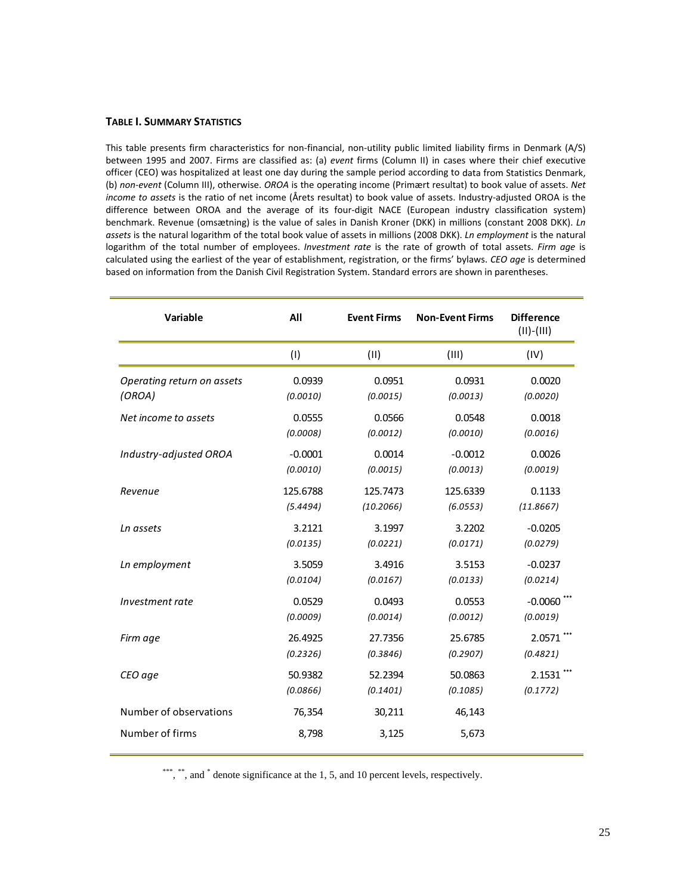#### **TABLE I. SUMMARY STATISTICS**

This table presents firm characteristics for non-financial, non-utility public limited liability firms in Denmark (A/S) between 1995 and 2007. Firms are classified as: (a) *event* firms (Column II) in cases where their chief executive officer (CEO) was hospitalized at least one day during the sample period according to data from Statistics Denmark, (b) *non‐event* (Column III), otherwise. *OROA* is the operating income (Primært resultat) to book value of assets. *Net income to assets* is the ratio of net income (Årets resultat) to book value of assets. Industry‐adjusted OROA is the difference between OROA and the average of its four-digit NACE (European industry classification system) benchmark. Revenue (omsætning) is the value of sales in Danish Kroner (DKK) in millions (constant 2008 DKK). *Ln assets* is the natural logarithm of the total book value of assets in millions (2008 DKK). *Ln employment* is the natural logarithm of the total number of employees. *Investment rate* is the rate of growth of total assets. *Firm age* is calculated using the earliest of the year of establishment, registration, or the firms' bylaws. *CEO age* is determined based on information from the Danish Civil Registration System. Standard errors are shown in parentheses.

| Variable                   | All       | <b>Event Firms</b> | <b>Non-Event Firms</b> | <b>Difference</b><br>$(II)-(III)$ |
|----------------------------|-----------|--------------------|------------------------|-----------------------------------|
|                            | (1)       | (11)               | (III)                  | (IV)                              |
| Operating return on assets | 0.0939    | 0.0951             | 0.0931                 | 0.0020                            |
| (OROA)                     | (0.0010)  | (0.0015)           | (0.0013)               | (0.0020)                          |
| Net income to assets       | 0.0555    | 0.0566             | 0.0548                 | 0.0018                            |
|                            | (0.0008)  | (0.0012)           | (0.0010)               | (0.0016)                          |
| Industry-adjusted OROA     | $-0.0001$ | 0.0014             | $-0.0012$              | 0.0026                            |
|                            | (0.0010)  | (0.0015)           | (0.0013)               | (0.0019)                          |
| Revenue                    | 125.6788  | 125.7473           | 125.6339               | 0.1133                            |
|                            | (5.4494)  | (10.2066)          | (6.0553)               | (11.8667)                         |
| Ln assets                  | 3.2121    | 3.1997             | 3.2202                 | $-0.0205$                         |
|                            | (0.0135)  | (0.0221)           | (0.0171)               | (0.0279)                          |
| Ln employment              | 3.5059    | 3.4916             | 3.5153                 | $-0.0237$                         |
|                            | (0.0104)  | (0.0167)           | (0.0133)               | (0.0214)                          |
| Investment rate            | 0.0529    | 0.0493             | 0.0553                 | $-0.0060$ ***                     |
|                            | (0.0009)  | (0.0014)           | (0.0012)               | (0.0019)                          |
| Firm age                   | 26.4925   | 27.7356            | 25.6785                | 2.0571***                         |
|                            | (0.2326)  | (0.3846)           | (0.2907)               | (0.4821)                          |
| CEO age                    | 50.9382   | 52.2394            | 50.0863                | 2.1531                            |
|                            | (0.0866)  | (0.1401)           | (0.1085)               | (0.1772)                          |
| Number of observations     | 76,354    | 30,211             | 46,143                 |                                   |
| Number of firms            | 8,798     | 3,125              | 5,673                  |                                   |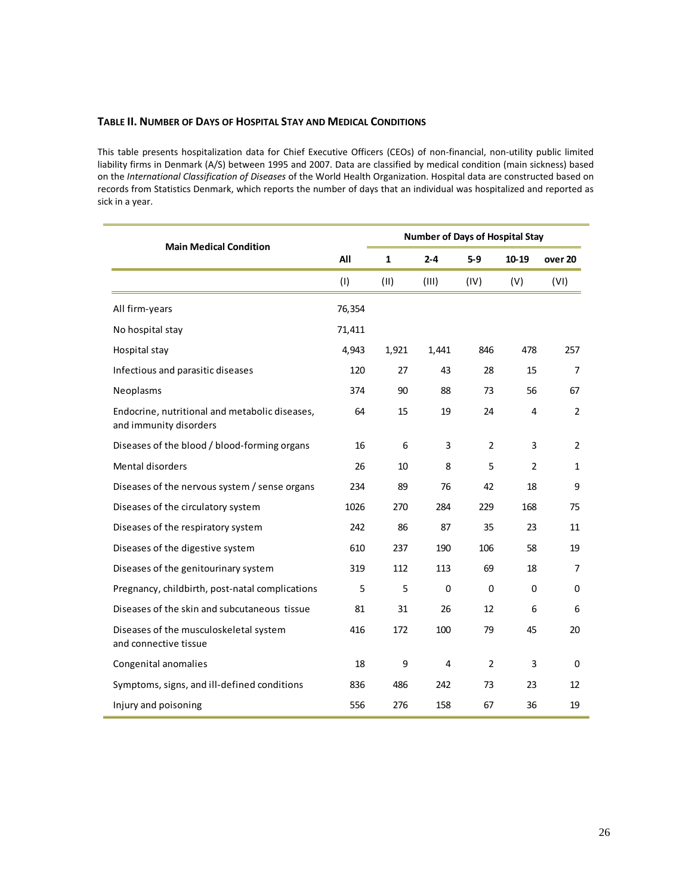### **TABLE II. NUMBER OF DAYS OF HOSPITAL STAY AND MEDICAL CONDITIONS**

This table presents hospitalization data for Chief Executive Officers (CEOs) of non‐financial, non‐utility public limited liability firms in Denmark (A/S) between 1995 and 2007. Data are classified by medical condition (main sickness) based on the *International Classification of Diseases* of the World Health Organization. Hospital data are constructed based on records from Statistics Denmark, which reports the number of days that an individual was hospitalized and reported as sick in a year.

| <b>Main Medical Condition</b>                                            |        |              | <b>Number of Days of Hospital Stay</b> |                |       |                |
|--------------------------------------------------------------------------|--------|--------------|----------------------------------------|----------------|-------|----------------|
|                                                                          | All    | $\mathbf{1}$ | $2 - 4$                                | $5-9$          | 10-19 | over 20        |
|                                                                          | (1)    | (11)         | (III)                                  | (IV)           | (V)   | (VI)           |
| All firm-years                                                           | 76,354 |              |                                        |                |       |                |
| No hospital stay                                                         | 71,411 |              |                                        |                |       |                |
| Hospital stay                                                            | 4,943  | 1,921        | 1,441                                  | 846            | 478   | 257            |
| Infectious and parasitic diseases                                        | 120    | 27           | 43                                     | 28             | 15    | $\overline{7}$ |
| Neoplasms                                                                | 374    | 90           | 88                                     | 73             | 56    | 67             |
| Endocrine, nutritional and metabolic diseases,<br>and immunity disorders | 64     | 15           | 19                                     | 24             | 4     | $\overline{2}$ |
| Diseases of the blood / blood-forming organs                             | 16     | 6            | 3                                      | $\overline{2}$ | 3     | 2              |
| Mental disorders                                                         | 26     | 10           | 8                                      | 5              | 2     | 1              |
| Diseases of the nervous system / sense organs                            | 234    | 89           | 76                                     | 42             | 18    | 9              |
| Diseases of the circulatory system                                       | 1026   | 270          | 284                                    | 229            | 168   | 75             |
| Diseases of the respiratory system                                       | 242    | 86           | 87                                     | 35             | 23    | 11             |
| Diseases of the digestive system                                         | 610    | 237          | 190                                    | 106            | 58    | 19             |
| Diseases of the genitourinary system                                     | 319    | 112          | 113                                    | 69             | 18    | 7              |
| Pregnancy, childbirth, post-natal complications                          | 5      | 5            | 0                                      | 0              | 0     | 0              |
| Diseases of the skin and subcutaneous tissue                             | 81     | 31           | 26                                     | 12             | 6     | 6              |
| Diseases of the musculoskeletal system<br>and connective tissue          | 416    | 172          | 100                                    | 79             | 45    | 20             |
| Congenital anomalies                                                     | 18     | 9            | 4                                      | 2              | 3     | $\Omega$       |
| Symptoms, signs, and ill-defined conditions                              | 836    | 486          | 242                                    | 73             | 23    | 12             |
| Injury and poisoning                                                     | 556    | 276          | 158                                    | 67             | 36    | 19             |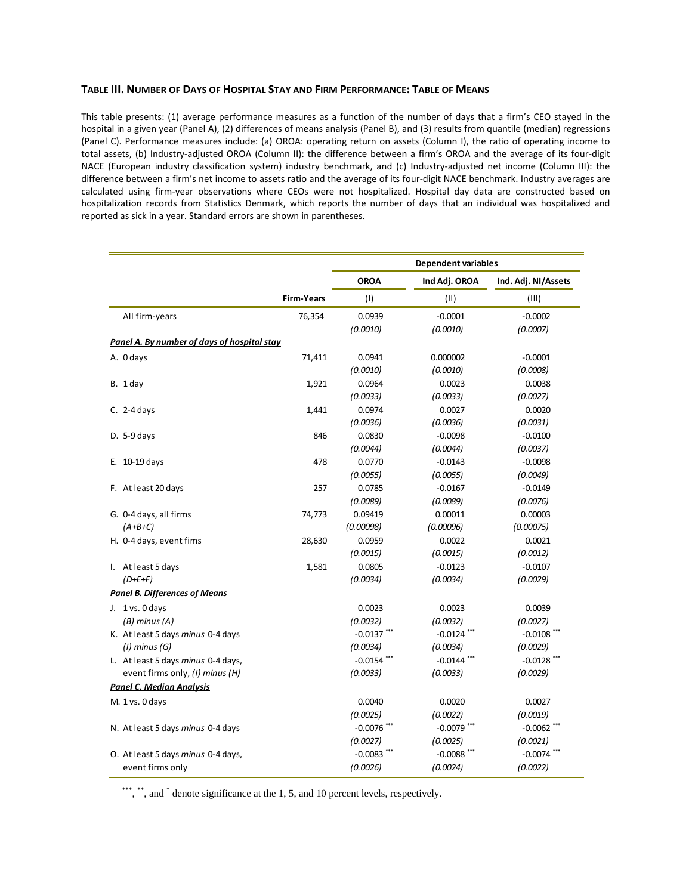#### **TABLE III. NUMBER OF DAYS OF HOSPITAL STAY AND FIRM PERFORMANCE: TABLE OF MEANS**

This table presents: (1) average performance measures as a function of the number of days that a firm's CEO stayed in the hospital in a given year (Panel A), (2) differences of means analysis (Panel B), and (3) results from quantile (median) regressions (Panel C). Performance measures include: (a) OROA: operating return on assets (Column I), the ratio of operating income to total assets, (b) Industry‐adjusted OROA (Column II): the difference between a firm's OROA and the average of its four‐digit NACE (European industry classification system) industry benchmark, and (c) Industry‐adjusted net income (Column III): the difference between a firm's net income to assets ratio and the average of its four‐digit NACE benchmark. Industry averages are calculated using firm‐year observations where CEOs were not hospitalized. Hospital day data are constructed based on hospitalization records from Statistics Denmark, which reports the number of days that an individual was hospitalized and reported as sick in a year. Standard errors are shown in parentheses.

|                                             |                   | <b>Dependent variables</b> |               |                     |  |  |  |
|---------------------------------------------|-------------------|----------------------------|---------------|---------------------|--|--|--|
|                                             |                   | <b>OROA</b>                | Ind Adj. OROA | Ind. Adj. NI/Assets |  |  |  |
|                                             | <b>Firm-Years</b> | (1)                        | (11)          | (III)               |  |  |  |
| All firm-years                              | 76,354            | 0.0939                     | $-0.0001$     | $-0.0002$           |  |  |  |
|                                             |                   | (0.0010)                   | (0.0010)      | (0.0007)            |  |  |  |
| Panel A. By number of days of hospital stay |                   |                            |               |                     |  |  |  |
| A. Odays                                    | 71,411            | 0.0941                     | 0.000002      | $-0.0001$           |  |  |  |
|                                             |                   | (0.0010)                   | (0.0010)      | (0.0008)            |  |  |  |
| B. 1 day                                    | 1,921             | 0.0964                     | 0.0023        | 0.0038              |  |  |  |
|                                             |                   | (0.0033)                   | (0.0033)      | (0.0027)            |  |  |  |
| C. $2-4$ days                               | 1,441             | 0.0974                     | 0.0027        | 0.0020              |  |  |  |
|                                             |                   | (0.0036)                   | (0.0036)      | (0.0031)            |  |  |  |
| D. $5-9$ days                               | 846               | 0.0830                     | $-0.0098$     | $-0.0100$           |  |  |  |
|                                             |                   | (0.0044)                   | (0.0044)      | (0.0037)            |  |  |  |
| E. $10-19$ days                             | 478               | 0.0770                     | $-0.0143$     | $-0.0098$           |  |  |  |
|                                             |                   | (0.0055)                   | (0.0055)      | (0.0049)            |  |  |  |
| F. At least 20 days                         | 257               | 0.0785                     | $-0.0167$     | $-0.0149$           |  |  |  |
|                                             |                   | (0.0089)                   | (0.0089)      | (0.0076)            |  |  |  |
| G. 0-4 days, all firms                      | 74,773            | 0.09419                    | 0.00011       | 0.00003             |  |  |  |
| $(A+B+C)$                                   |                   | (0.00098)                  | (0.00096)     | (0.00075)           |  |  |  |
| H. 0-4 days, event fims                     | 28,630            | 0.0959                     | 0.0022        | 0.0021              |  |  |  |
|                                             |                   | (0.0015)                   | (0.0015)      | (0.0012)            |  |  |  |
| I. At least 5 days                          | 1,581             | 0.0805                     | $-0.0123$     | $-0.0107$           |  |  |  |
| $(D+E+F)$                                   |                   | (0.0034)                   | (0.0034)      | (0.0029)            |  |  |  |
| <b>Panel B. Differences of Means</b>        |                   |                            |               |                     |  |  |  |
| J. 1 vs. 0 days                             |                   | 0.0023                     | 0.0023        | 0.0039              |  |  |  |
| $(B)$ minus $(A)$                           |                   | (0.0032)                   | (0.0032)      | (0.0027)            |  |  |  |
| K. At least 5 days minus 0-4 days           |                   | $-0.0137$ ***              | $-0.0124$ *** | $-0.0108$ ***       |  |  |  |
| $(1)$ minus $(G)$                           |                   | (0.0034)                   | (0.0034)      | (0.0029)            |  |  |  |
| L. At least 5 days minus 0-4 days,          |                   | $-0.0154$                  | $-0.0144$ *** | $-0.0128$ ***       |  |  |  |
| event firms only, (I) minus (H)             |                   | (0.0033)                   | (0.0033)      | (0.0029)            |  |  |  |
| <b>Panel C. Median Analysis</b>             |                   |                            |               |                     |  |  |  |
| M. 1 vs. 0 days                             |                   | 0.0040                     | 0.0020        | 0.0027              |  |  |  |
|                                             |                   | (0.0025)                   | (0.0022)      | (0.0019)            |  |  |  |
| N. At least 5 days minus 0-4 days           |                   | $-0.0076$ *                | $-0.0079$ *** | $-0.0062$ **        |  |  |  |
|                                             |                   | (0.0027)                   | (0.0025)      | (0.0021)            |  |  |  |
| O. At least 5 days minus 0-4 days,          |                   | $-0.0083$                  | $-0.0088$ **  | $-0.0074$ ***       |  |  |  |
| event firms only                            |                   | (0.0026)                   | (0.0024)      | (0.0022)            |  |  |  |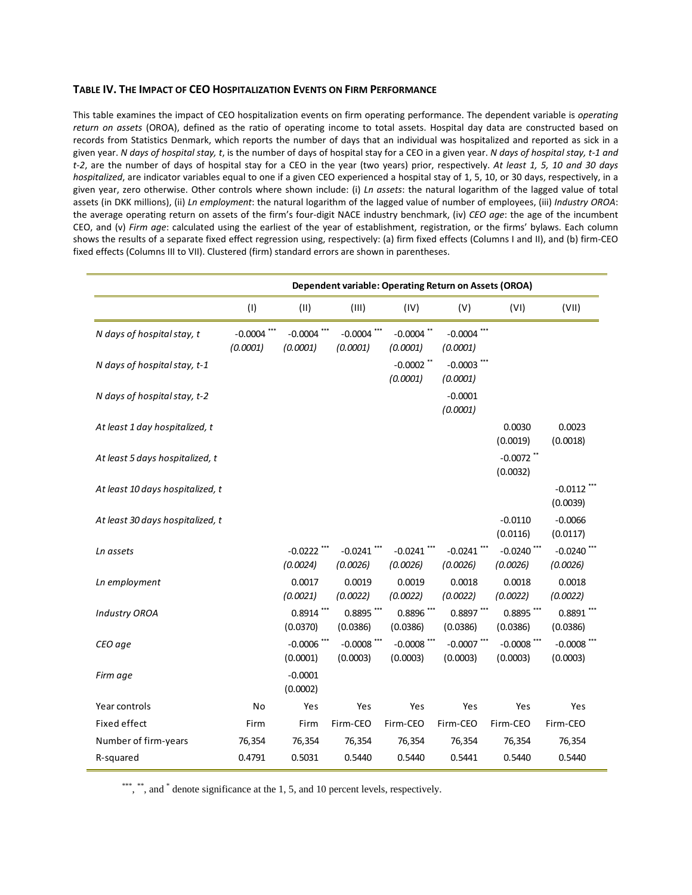### **TABLE IV. THE IMPACT OF CEO HOSPITALIZATION EVENTS ON FIRM PERFORMANCE**

This table examines the impact of CEO hospitalization events on firm operating performance. The dependent variable is *operating return on assets* (OROA), defined as the ratio of operating income to total assets. Hospital day data are constructed based on records from Statistics Denmark, which reports the number of days that an individual was hospitalized and reported as sick in a given year. N days of hospital stay, t, is the number of days of hospital stay for a CEO in a given year. N days of hospital stay, t-1 and *t‐2*, are the number of days of hospital stay for a CEO in the year (two years) prior, respectively. *At least 1, 5, 10 and 30 days hospitalized*, are indicator variables equal to one if a given CEO experienced a hospital stay of 1, 5, 10, or 30 days, respectively, in a given year, zero otherwise. Other controls where shown include: (i) *Ln assets*: the natural logarithm of the lagged value of total assets (in DKK millions), (ii) *Ln employment*: the natural logarithm of the lagged value of number of employees, (iii) *Industry OROA*: the average operating return on assets of the firm's four‐digit NACE industry benchmark, (iv) *CEO age*: the age of the incumbent CEO, and (v) *Firm age*: calculated using the earliest of the year of establishment, registration, or the firms' bylaws. Each column shows the results of a separate fixed effect regression using, respectively: (a) firm fixed effects (Columns I and II), and (b) firm‐CEO fixed effects (Columns III to VII). Clustered (firm) standard errors are shown in parentheses.

|                                  | Dependent variable: Operating Return on Assets (OROA) |                           |                           |                           |                           |                           |                           |
|----------------------------------|-------------------------------------------------------|---------------------------|---------------------------|---------------------------|---------------------------|---------------------------|---------------------------|
|                                  | (1)                                                   | (11)                      | (III)                     | (IV)                      | (V)                       | (VI)                      | (VII)                     |
| N days of hospital stay, t       | $-0.0004$ ***<br>(0.0001)                             | $-0.0004$ ***<br>(0.0001) | $-0.0004$ ***<br>(0.0001) | $-0.0004$ **<br>(0.0001)  | $-0.0004$ ***<br>(0.0001) |                           |                           |
| N days of hospital stay, t-1     |                                                       |                           |                           | $-0.0002$ **<br>(0.0001)  | $-0.0003$ ***<br>(0.0001) |                           |                           |
| N days of hospital stay, t-2     |                                                       |                           |                           |                           | $-0.0001$<br>(0.0001)     |                           |                           |
| At least 1 day hospitalized, t   |                                                       |                           |                           |                           |                           | 0.0030<br>(0.0019)        | 0.0023<br>(0.0018)        |
| At least 5 days hospitalized, t  |                                                       |                           |                           |                           |                           | $-0.0072$ **<br>(0.0032)  |                           |
| At least 10 days hospitalized, t |                                                       |                           |                           |                           |                           |                           | $-0.0112$<br>(0.0039)     |
| At least 30 days hospitalized, t |                                                       |                           |                           |                           |                           | $-0.0110$<br>(0.0116)     | $-0.0066$<br>(0.0117)     |
| Ln assets                        |                                                       | $-0.0222$ ***<br>(0.0024) | $-0.0241$ ***<br>(0.0026) | $-0.0241$ ***<br>(0.0026) | $-0.0241$ ***<br>(0.0026) | $-0.0240$ ***<br>(0.0026) | $-0.0240$ ***<br>(0.0026) |
| Ln employment                    |                                                       | 0.0017<br>(0.0021)        | 0.0019<br>(0.0022)        | 0.0019<br>(0.0022)        | 0.0018<br>(0.0022)        | 0.0018<br>(0.0022)        | 0.0018<br>(0.0022)        |
| <b>Industry OROA</b>             |                                                       | $0.8914$ ***<br>(0.0370)  | $0.8895$ ***<br>(0.0386)  | 0.8896 ***<br>(0.0386)    | 0.8897***<br>(0.0386)     | $0.8895$ ***<br>(0.0386)  | $0.8891$ ***<br>(0.0386)  |
| CEO age                          |                                                       | $-0.0006$ ***<br>(0.0001) | $-0.0008$ **<br>(0.0003)  | $-0.0008$ **<br>(0.0003)  | $-0.0007$ ***<br>(0.0003) | $-0.0008$ ***<br>(0.0003) | $-0.0008$ ***<br>(0.0003) |
| Firm age                         |                                                       | $-0.0001$<br>(0.0002)     |                           |                           |                           |                           |                           |
| Year controls                    | No                                                    | Yes                       | Yes                       | Yes                       | Yes                       | Yes                       | Yes                       |
| Fixed effect                     | Firm                                                  | Firm                      | Firm-CEO                  | Firm-CEO                  | Firm-CEO                  | Firm-CEO                  | Firm-CEO                  |
| Number of firm-years             | 76,354                                                | 76,354                    | 76,354                    | 76,354                    | 76,354                    | 76,354                    | 76,354                    |
| R-squared                        | 0.4791                                                | 0.5031                    | 0.5440                    | 0.5440                    | 0.5441                    | 0.5440                    | 0.5440                    |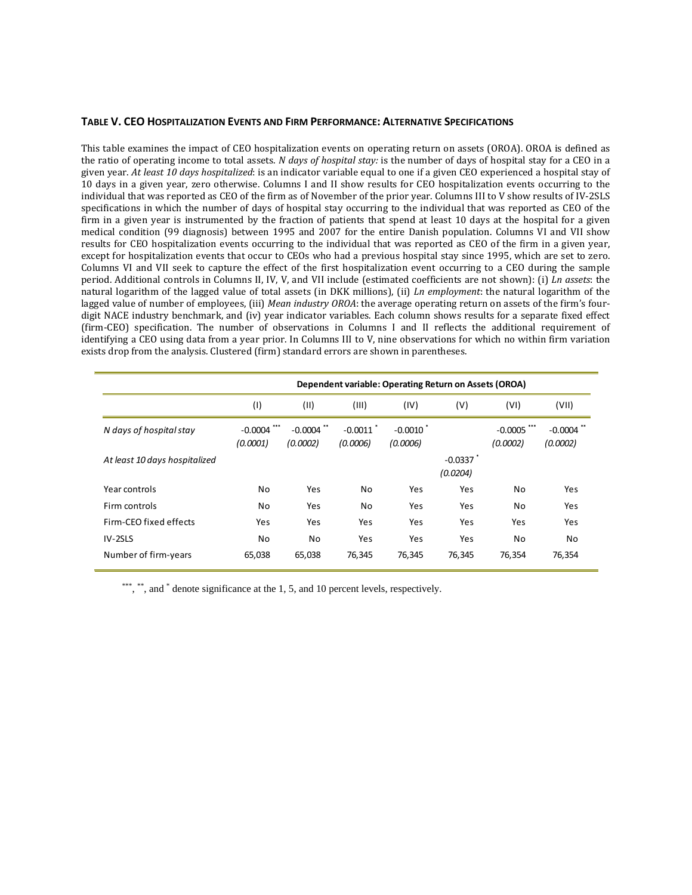#### **TABLE V. CEO HOSPITALIZATION EVENTS AND FIRM PERFORMANCE: ALTERNATIVE SPECIFICATIONS**

This table examines the impact of CEO hospitalization events on operating return on assets (OROA). OROA is defined as the ratio of operating income to total assets. *N days of hospital stay:* is the number of days of hospital stay for a CEO in a given year. *At least 10 days hospitalized*: is an indicator variable equal to one if a given CEO experienced a hospital stay of 10 days in a given year, zero otherwise. Columns I and II show results for CEO hospitalization events occurring to the individual that was reported as CEO of the firm as of November of the prior year. Columns III to V show results of IV‐2SLS specifications in which the number of days of hospital stay occurring to the individual that was reported as CEO of the firm in a given year is instrumented by the fraction of patients that spend at least 10 days at the hospital for a given medical condition (99 diagnosis) between 1995 and 2007 for the entire Danish population. Columns VI and VII show results for CEO hospitalization events occurring to the individual that was reported as CEO of the firm in a given year, except for hospitalization events that occur to CEOs who had a previous hospital stay since 1995, which are set to zero. Columns VI and VII seek to capture the effect of the first hospitalization event occurring to a CEO during the sample period. Additional controls in Columns II, IV, V, and VII include (estimated coefficients are not shown): (i) *Ln assets*: the natural logarithm of the lagged value of total assets (in DKK millions), (ii) *Ln employment*: the natural logarithm of the lagged value of number of employees, (iii) *Mean industry OROA*: the average operating return on assets of the firm's four‐ digit NACE industry benchmark, and (iv) year indicator variables. Each column shows results for a separate fixed effect (firm‐CEO) specification. The number of observations in Columns I and II reflects the additional requirement of identifying a CEO using data from a year prior. In Columns III to V, nine observations for which no within firm variation exists drop from the analysis. Clustered (firm) standard errors are shown in parentheses.

|                               |                       | Dependent variable: Operating Return on Assets (OROA) |                         |                                    |                       |                       |                          |  |  |
|-------------------------------|-----------------------|-------------------------------------------------------|-------------------------|------------------------------------|-----------------------|-----------------------|--------------------------|--|--|
|                               | (1)                   | (11)                                                  | (III)                   | (IV)                               | (V)                   | (VI)                  | (VII)                    |  |  |
| N days of hospital stay       | $-0.0004$<br>(0.0001) | $-0.0004$ **<br>(0.0002)                              | $-0.0011$ *<br>(0.0006) | $-0.0010$ <sup>*</sup><br>(0.0006) |                       | $-0.0005$<br>(0.0002) | $-0.0004$ **<br>(0.0002) |  |  |
| At least 10 days hospitalized |                       |                                                       |                         |                                    | $-0.0337$<br>(0.0204) |                       |                          |  |  |
| Year controls                 | No                    | Yes                                                   | No                      | Yes                                | Yes                   | No                    | Yes                      |  |  |
| Firm controls                 | No                    | Yes                                                   | No                      | Yes                                | Yes                   | No                    | Yes                      |  |  |
| Firm-CEO fixed effects        | Yes                   | Yes                                                   | Yes                     | Yes                                | Yes                   | Yes                   | Yes                      |  |  |
| IV-2SLS                       | No                    | No                                                    | Yes                     | Yes                                | Yes                   | No                    | No                       |  |  |
| Number of firm-years          | 65,038                | 65,038                                                | 76,345                  | 76,345                             | 76,345                | 76,354                | 76,354                   |  |  |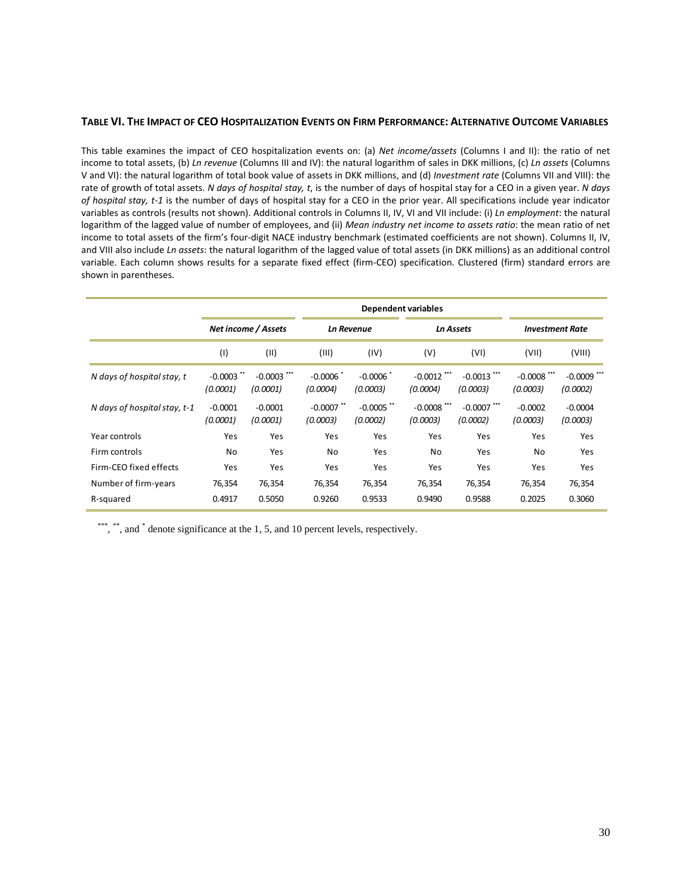### **TABLE VI. THE IMPACT OF CEO HOSPITALIZATION EVENTS ON FIRM PERFORMANCE: ALTERNATIVE OUTCOME VARIABLES**

This table examines the impact of CEO hospitalization events on: (a) *Net income/assets* (Columns I and II): the ratio of net income to total assets, (b) *Ln revenue* (Columns III and IV): the natural logarithm of sales in DKK millions, (c) *Ln assets* (Columns V and VI): the natural logarithm of total book value of assets in DKK millions, and (d) *Investment rate* (Columns VII and VIII): the rate of growth of total assets. *N days of hospital stay, t*, is the number of days of hospital stay for a CEO in a given year. *N days of hospital stay, t‐1* is the number of days of hospital stay for a CEO in the prior year. All specifications include year indicator variables as controls (results not shown). Additional controls in Columns II, IV, VI and VII include: (i) *Ln employment*: the natural logarithm of the lagged value of number of employees, and (ii) *Mean industry net income to assets ratio*: the mean ratio of net income to total assets of the firm's four-digit NACE industry benchmark (estimated coefficients are not shown). Columns II, IV, and VIII also include *Ln assets*: the natural logarithm of the lagged value of total assets (in DKK millions) as an additional control variable. Each column shows results for a separate fixed effect (firm‐CEO) specification. Clustered (firm) standard errors are shown in parentheses.

|                              |                          | Net income / Assets       | <b>Ln Revenue</b>        |                          |                           | <b>Ln Assets</b>          |                           | <b>Investment Rate</b>    |  |
|------------------------------|--------------------------|---------------------------|--------------------------|--------------------------|---------------------------|---------------------------|---------------------------|---------------------------|--|
|                              | (1)                      | (II)                      | (III)                    | (IV)                     | (V)                       | (VI)                      | (VII)                     | (VIII)                    |  |
| N days of hospital stay, t   | $-0.0003$ **<br>(0.0001) | $-0.0003$ ***<br>(0.0001) | $-0.0006$<br>(0.0004)    | $-0.0006$<br>(0.0003)    | $-0.0012$ ***<br>(0.0004) | $-0.0013$ ***<br>(0.0003) | $-0.0008$ ***<br>(0.0003) | $-0.0009$ ***<br>(0.0002) |  |
| N days of hospital stay, t-1 | $-0.0001$<br>(0.0001)    | $-0.0001$<br>(0.0001)     | $-0.0007$ **<br>(0.0003) | $-0.0005$ **<br>(0.0002) | $-0.0008$ ***<br>(0.0003) | $-0.0007$ ***<br>(0.0002) | $-0.0002$<br>(0.0003)     | $-0.0004$<br>(0.0003)     |  |
| Year controls                | Yes                      | Yes                       | Yes                      | Yes                      | Yes                       | Yes                       | Yes                       | Yes                       |  |
| Firm controls                | No                       | Yes                       | No                       | Yes                      | No                        | Yes                       | No                        | Yes                       |  |
| Firm-CEO fixed effects       | Yes                      | Yes                       | Yes                      | Yes                      | Yes                       | Yes                       | Yes                       | Yes                       |  |
| Number of firm-years         | 76,354                   | 76,354                    | 76,354                   | 76,354                   | 76,354                    | 76,354                    | 76,354                    | 76,354                    |  |
| R-squared                    | 0.4917                   | 0.5050                    | 0.9260                   | 0.9533                   | 0.9490                    | 0.9588                    | 0.2025                    | 0.3060                    |  |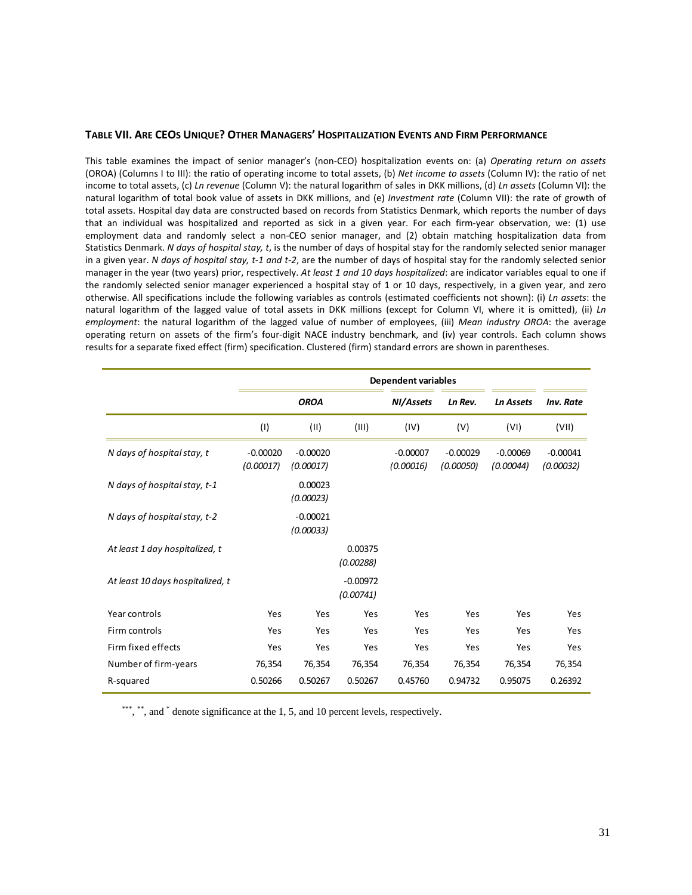#### **TABLE VII. ARE CEOS UNIQUE? OTHER MANAGERS' HOSPITALIZATION EVENTS AND FIRM PERFORMANCE**

This table examines the impact of senior manager's (non‐CEO) hospitalization events on: (a) *Operating return on assets* (OROA) (Columns I to III): the ratio of operating income to total assets, (b) *Net income to assets* (Column IV): the ratio of net income to total assets, (c) *Ln revenue* (Column V): the natural logarithm of sales in DKK millions, (d) *Ln assets* (Column VI): the natural logarithm of total book value of assets in DKK millions, and (e) *Investment rate* (Column VII): the rate of growth of total assets. Hospital day data are constructed based on records from Statistics Denmark, which reports the number of days that an individual was hospitalized and reported as sick in a given year. For each firm-year observation, we: (1) use employment data and randomly select a non-CEO senior manager, and (2) obtain matching hospitalization data from Statistics Denmark. *N days of hospital stay, t*, is the number of days of hospital stay for the randomly selected senior manager in a given year. *N days of hospital stay, t‐1 and t‐2*, are the number of days of hospital stay for the randomly selected senior manager in the year (two years) prior, respectively. *At least 1 and 10 days hospitalized*: are indicator variables equal to one if the randomly selected senior manager experienced a hospital stay of 1 or 10 days, respectively, in a given year, and zero otherwise. All specifications include the following variables as controls (estimated coefficients not shown): (i) *Ln assets*: the natural logarithm of the lagged value of total assets in DKK millions (except for Column VI, where it is omitted), (ii) *Ln employment*: the natural logarithm of the lagged value of number of employees, (iii) *Mean industry OROA*: the average operating return on assets of the firm's four‐digit NACE industry benchmark, and (iv) year controls. Each column shows results for a separate fixed effect (firm) specification. Clustered (firm) standard errors are shown in parentheses.

|                                  |                         | <b>Dependent variables</b> |                         |                         |                         |                         |                         |  |
|----------------------------------|-------------------------|----------------------------|-------------------------|-------------------------|-------------------------|-------------------------|-------------------------|--|
|                                  |                         | <b>OROA</b>                |                         | NI/Assets               | Ln Rev.                 | <b>Ln Assets</b>        | Inv. Rate               |  |
|                                  | (1)                     | (11)                       | (III)                   | (IV)                    | (V)                     | (VI)                    | (VII)                   |  |
| N days of hospital stay, t       | $-0.00020$<br>(0.00017) | $-0.00020$<br>(0.00017)    |                         | $-0.00007$<br>(0.00016) | $-0.00029$<br>(0.00050) | $-0.00069$<br>(0.00044) | $-0.00041$<br>(0.00032) |  |
| N days of hospital stay, t-1     |                         | 0.00023<br>(0.00023)       |                         |                         |                         |                         |                         |  |
| N days of hospital stay, t-2     |                         | $-0.00021$<br>(0.00033)    |                         |                         |                         |                         |                         |  |
| At least 1 day hospitalized, t   |                         |                            | 0.00375<br>(0.00288)    |                         |                         |                         |                         |  |
| At least 10 days hospitalized, t |                         |                            | $-0.00972$<br>(0.00741) |                         |                         |                         |                         |  |
| Year controls                    | Yes                     | Yes                        | Yes                     | Yes                     | Yes                     | Yes                     | Yes                     |  |
| Firm controls                    | Yes                     | Yes                        | Yes                     | Yes                     | Yes                     | Yes                     | Yes                     |  |
| Firm fixed effects               | Yes                     | Yes                        | Yes                     | Yes                     | Yes                     | Yes                     | Yes                     |  |
| Number of firm-years             | 76,354                  | 76,354                     | 76,354                  | 76,354                  | 76,354                  | 76,354                  | 76,354                  |  |
| R-squared                        | 0.50266                 | 0.50267                    | 0.50267                 | 0.45760                 | 0.94732                 | 0.95075                 | 0.26392                 |  |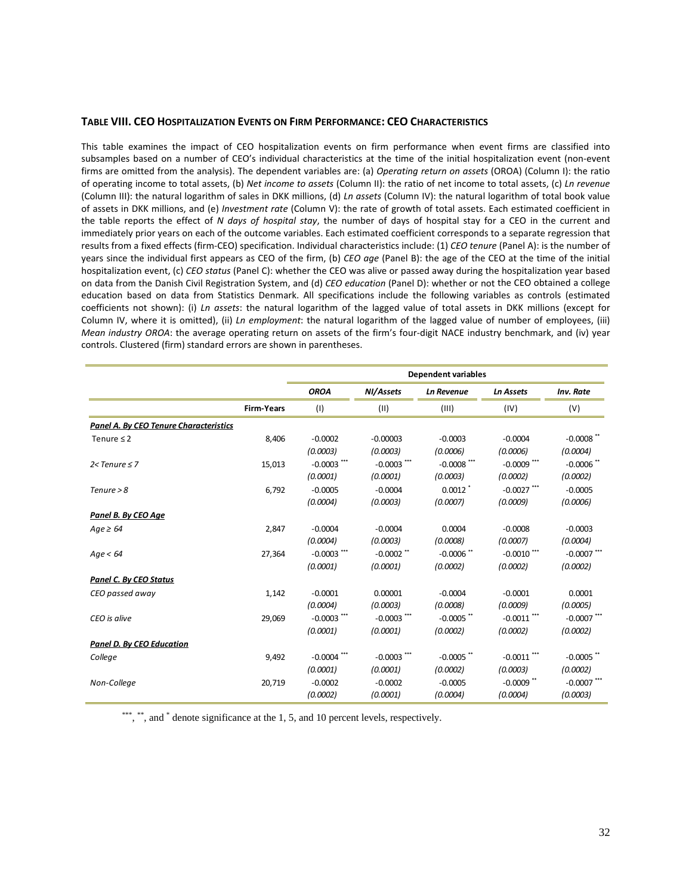### **TABLE VIII. CEO HOSPITALIZATION EVENTS ON FIRM PERFORMANCE: CEO CHARACTERISTICS**

This table examines the impact of CEO hospitalization events on firm performance when event firms are classified into subsamples based on a number of CEO's individual characteristics at the time of the initial hospitalization event (non-event firms are omitted from the analysis). The dependent variables are: (a) *Operating return on assets* (OROA) (Column I): the ratio of operating income to total assets, (b) *Net income to assets* (Column II): the ratio of net income to total assets, (c) *Ln revenue* (Column III): the natural logarithm of sales in DKK millions, (d) *Ln assets* (Column IV): the natural logarithm of total book value of assets in DKK millions, and (e) *Investment rate* (Column V): the rate of growth of total assets. Each estimated coefficient in the table reports the effect of *N days of hospital stay*, the number of days of hospital stay for a CEO in the current and immediately prior years on each of the outcome variables. Each estimated coefficient corresponds to a separate regression that results from a fixed effects (firm‐CEO) specification. Individual characteristics include: (1) *CEO tenure* (Panel A): is the number of years since the individual first appears as CEO of the firm, (b) *CEO age* (Panel B): the age of the CEO at the time of the initial hospitalization event, (c) *CEO status* (Panel C): whether the CEO was alive or passed away during the hospitalization year based on data from the Danish Civil Registration System, and (d) *CEO education* (Panel D): whether or not the CEO obtained a college education based on data from Statistics Denmark. All specifications include the following variables as controls (estimated coefficients not shown): (i) *Ln assets*: the natural logarithm of the lagged value of total assets in DKK millions (except for Column IV, where it is omitted), (ii) *Ln employment*: the natural logarithm of the lagged value of number of employees, (iii) *Mean industry OROA*: the average operating return on assets of the firm's four‐digit NACE industry benchmark, and (iv) year controls. Clustered (firm) standard errors are shown in parentheses.

|                                        |                   |               |               | <b>Dependent variables</b> |                  |               |
|----------------------------------------|-------------------|---------------|---------------|----------------------------|------------------|---------------|
|                                        |                   | <b>OROA</b>   | NI/Assets     | <b>Ln Revenue</b>          | <b>Ln Assets</b> | Inv. Rate     |
|                                        | <b>Firm-Years</b> | (1)           | (11)          | (III)                      | (IV)             | (V)           |
| Panel A. By CEO Tenure Characteristics |                   |               |               |                            |                  |               |
| Tenure $\leq 2$                        | 8,406             | $-0.0002$     | $-0.00003$    | $-0.0003$                  | $-0.0004$        | $-0.0008$ **  |
|                                        |                   | (0.0003)      | (0.0003)      | (0.0006)                   | (0.0006)         | (0.0004)      |
| $2$ <tenure <math="">\leq 7</tenure>   | 15,013            | $-0.0003$ *** | $-0.0003$ *** | $-0.0008$ ***              | $-0.0009$ ***    | $-0.0006$ **  |
|                                        |                   | (0.0001)      | (0.0001)      | (0.0003)                   | (0.0002)         | (0.0002)      |
| $T$ enure > 8                          | 6,792             | $-0.0005$     | $-0.0004$     | $0.0012$ <sup>*</sup>      | $-0.0027$ ***    | $-0.0005$     |
|                                        |                   | (0.0004)      | (0.0003)      | (0.0007)                   | (0.0009)         | (0.0006)      |
| Panel B. By CEO Age                    |                   |               |               |                            |                  |               |
| $Age \geq 64$                          | 2,847             | $-0.0004$     | $-0.0004$     | 0.0004                     | $-0.0008$        | $-0.0003$     |
|                                        |                   | (0.0004)      | (0.0003)      | (0.0008)                   | (0.0007)         | (0.0004)      |
| Age < 64                               | 27,364            | $-0.0003$ *** | $-0.0002$ **  | $-0.0006$ **               | $-0.0010$ ***    | $-0.0007$ *** |
|                                        |                   | (0.0001)      | (0.0001)      | (0.0002)                   | (0.0002)         | (0.0002)      |
| Panel C. By CEO Status                 |                   |               |               |                            |                  |               |
| CEO passed away                        | 1,142             | $-0.0001$     | 0.00001       | $-0.0004$                  | $-0.0001$        | 0.0001        |
|                                        |                   | (0.0004)      | (0.0003)      | (0.0008)                   | (0.0009)         | (0.0005)      |
| CEO is alive                           | 29,069            | $-0.0003$ *** | $-0.0003$ *** | $-0.0005$ **               | $-0.0011$ ***    | $-0.0007$ *** |
|                                        |                   | (0.0001)      | (0.0001)      | (0.0002)                   | (0.0002)         | (0.0002)      |
| <b>Panel D. By CEO Education</b>       |                   |               |               |                            |                  |               |
| College                                | 9,492             | $-0.0004$     | $-0.0003$ *** | $-0.0005$ **               | $-0.0011$ ***    | $-0.0005$ **  |
|                                        |                   | (0.0001)      | (0.0001)      | (0.0002)                   | (0.0003)         | (0.0002)      |
| Non-College                            | 20,719            | $-0.0002$     | $-0.0002$     | $-0.0005$                  | $-0.0009$ **     | $-0.0007$ *** |
|                                        |                   | (0.0002)      | (0.0001)      | (0.0004)                   | (0.0004)         | (0.0003)      |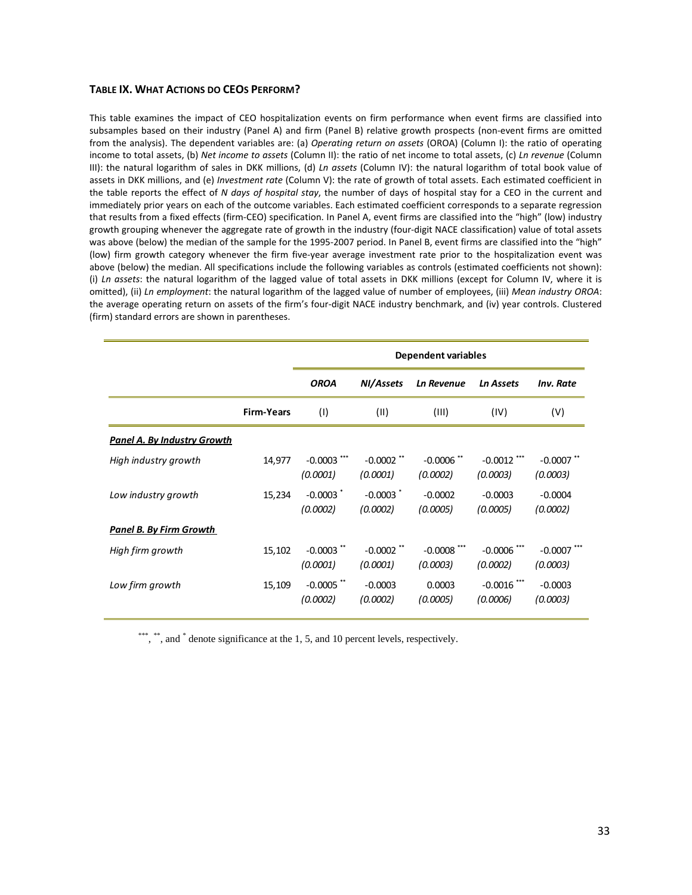#### **TABLE IX. WHAT ACTIONS DO CEOS PERFORM?**

This table examines the impact of CEO hospitalization events on firm performance when event firms are classified into subsamples based on their industry (Panel A) and firm (Panel B) relative growth prospects (non-event firms are omitted from the analysis). The dependent variables are: (a) *Operating return on assets* (OROA) (Column I): the ratio of operating income to total assets, (b) *Net income to assets* (Column II): the ratio of net income to total assets, (c) *Ln revenue* (Column III): the natural logarithm of sales in DKK millions, (d) *Ln assets* (Column IV): the natural logarithm of total book value of assets in DKK millions, and (e) *Investment rate* (Column V): the rate of growth of total assets. Each estimated coefficient in the table reports the effect of *N days of hospital stay*, the number of days of hospital stay for a CEO in the current and immediately prior years on each of the outcome variables. Each estimated coefficient corresponds to a separate regression that results from a fixed effects (firm‐CEO) specification. In Panel A, event firms are classified into the "high" (low) industry growth grouping whenever the aggregate rate of growth in the industry (four-digit NACE classification) value of total assets was above (below) the median of the sample for the 1995-2007 period. In Panel B, event firms are classified into the "high" (low) firm growth category whenever the firm five‐year average investment rate prior to the hospitalization event was above (below) the median. All specifications include the following variables as controls (estimated coefficients not shown): (i) *Ln assets*: the natural logarithm of the lagged value of total assets in DKK millions (except for Column IV, where it is omitted), (ii) *Ln employment*: the natural logarithm of the lagged value of number of employees, (iii) *Mean industry OROA*: the average operating return on assets of the firm's four‐digit NACE industry benchmark, and (iv) year controls. Clustered (firm) standard errors are shown in parentheses.

|                                    |                   |                                 |                           | <b>Dependent variables</b> |                           |                           |
|------------------------------------|-------------------|---------------------------------|---------------------------|----------------------------|---------------------------|---------------------------|
|                                    |                   | <b>OROA</b>                     | NI/Assets                 | <b>Ln Revenue</b>          | <b>Ln Assets</b>          | <b>Inv. Rate</b>          |
|                                    | <b>Firm-Years</b> | (1)                             | (11)                      | (III)                      | (IV)                      | (V)                       |
| <b>Panel A. By Industry Growth</b> |                   |                                 |                           |                            |                           |                           |
| High industry growth               | 14,977            | $-0.0003$<br>(0.0001)           | $-0.0002$ **<br>(0.0001)  | $-0.0006$ **<br>(0.0002)   | $-0.0012$ ***<br>(0.0003) | $-0.0007$ *<br>(0.0003)   |
| Low industry growth                | 15,234            | $-0.0003$ $\degree$<br>(0.0002) | $-0.0003$ $*$<br>(0.0002) | $-0.0002$<br>(0.0005)      | $-0.0003$<br>(0.0005)     | $-0.0004$<br>(0.0002)     |
| <u>Panel B. By Firm Growth</u>     |                   |                                 |                           |                            |                           |                           |
| High firm growth                   | 15,102            | $-0.0003$ **<br>(0.0001)        | $-0.0002$ **<br>(0.0001)  | $-0.0008$ ***<br>(0.0003)  | $-0.0006$ ***<br>(0.0002) | $-0.0007$ ***<br>(0.0003) |
| Low firm growth                    | 15,109            | $-0.0005$ **<br>(0.0002)        | $-0.0003$<br>(0.0002)     | 0.0003<br>(0.0005)         | $-0.0016$ ***<br>(0.0006) | $-0.0003$<br>(0.0003)     |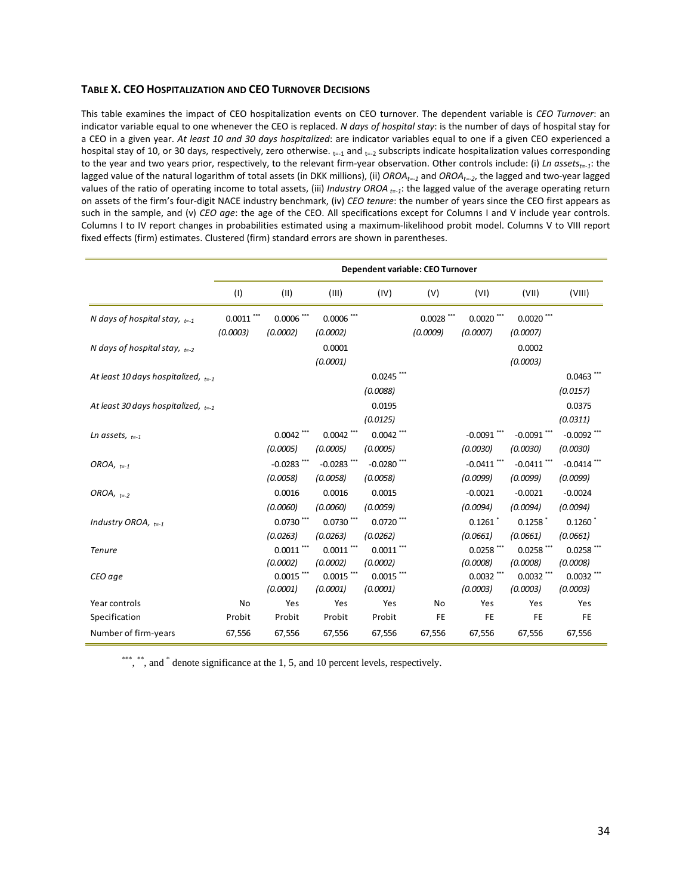### **TABLE X. CEO HOSPITALIZATION AND CEO TURNOVER DECISIONS**

This table examines the impact of CEO hospitalization events on CEO turnover. The dependent variable is *CEO Turnover*: an indicator variable equal to one whenever the CEO is replaced. *N days of hospital stay*: is the number of days of hospital stay for a CEO in a given year. *At least 10 and 30 days hospitalized*: are indicator variables equal to one if a given CEO experienced a hospital stay of 10, or 30 days, respectively, zero otherwise.  $_{t=1}$  and  $_{t=2}$  subscripts indicate hospitalization values corresponding to the year and two years prior, respectively, to the relevant firm‐year observation. Other controls include: (i) *Ln assetst=‐1*: the lagged value of the natural logarithm of total assets (in DKK millions), (ii) OROA<sub>t=1</sub> and OROA<sub>t=2</sub>, the lagged and two-year lagged values of the ratio of operating income to total assets, (iii) *Industry OROA t=‐1*: the lagged value of the average operating return on assets of the firm's four‐digit NACE industry benchmark, (iv) *CEO tenure*: the number of years since the CEO first appears as such in the sample, and (v) *CEO age*: the age of the CEO. All specifications except for Columns I and V include year controls. Columns I to IV report changes in probabilities estimated using a maximum‐likelihood probit model. Columns V to VIII report fixed effects (firm) estimates. Clustered (firm) standard errors are shown in parentheses.

|                                         | Dependent variable: CEO Turnover |                           |                           |                           |                          |                           |                           |                                   |
|-----------------------------------------|----------------------------------|---------------------------|---------------------------|---------------------------|--------------------------|---------------------------|---------------------------|-----------------------------------|
|                                         | (1)                              | (11)                      | (III)                     | (IV)                      | (V)                      | (VI)                      | (VII)                     | (VIII)                            |
| N days of hospital stay, $_{t=1}$       | $0.0011$ ***<br>(0.0003)         | $0.0006$ ***<br>(0.0002)  | $0.0006$ ***<br>(0.0002)  |                           | $0.0028$ ***<br>(0.0009) | $0.0020$ ***<br>(0.0007)  | $0.0020$ ***<br>(0.0007)  |                                   |
| N days of hospital stay, $_{t=2}$       |                                  |                           | 0.0001<br>(0.0001)        |                           |                          |                           | 0.0002<br>(0.0003)        |                                   |
| At least 10 days hospitalized, $_{t=1}$ |                                  |                           |                           | $0.0245$ ***<br>(0.0088)  |                          |                           |                           | 0.0463<br>(0.0157)                |
| At least 30 days hospitalized, $_{t=1}$ |                                  |                           |                           | 0.0195<br>(0.0125)        |                          |                           |                           | 0.0375<br>(0.0311)                |
| Ln assets, $_{t=1}$                     |                                  | $0.0042$ ***<br>(0.0005)  | $0.0042$ ***<br>(0.0005)  | $0.0042$ ***<br>(0.0005)  |                          | $-0.0091$ ***<br>(0.0030) | $-0.0091$ ***<br>(0.0030) | $-0.0092$ ***<br>(0.0030)         |
| OROA, $t=-1$                            |                                  | $-0.0283$ ***<br>(0.0058) | $-0.0283$ ***<br>(0.0058) | $-0.0280$ ***<br>(0.0058) |                          | $-0.0411$ ***<br>(0.0099) | $-0.0411$ ***<br>(0.0099) | $-0.0414$ ***<br>(0.0099)         |
| OROA, $_{t=2}$                          |                                  | 0.0016<br>(0.0060)        | 0.0016<br>(0.0060)        | 0.0015<br>(0.0059)        |                          | $-0.0021$<br>(0.0094)     | $-0.0021$<br>(0.0094)     | $-0.0024$<br>(0.0094)             |
| Industry OROA, $_{t=1}$                 |                                  | $0.0730$ ***<br>(0.0263)  | $0.0730$ ***<br>(0.0263)  | $0.0720$ ***<br>(0.0262)  |                          | 0.1261<br>(0.0661)        | 0.1258<br>(0.0661)        | $0.1260$ <sup>*</sup><br>(0.0661) |
| <b>Tenure</b>                           |                                  | $0.0011$ ***<br>(0.0002)  | $0.0011$ ***<br>(0.0002)  | $0.0011$ ***<br>(0.0002)  |                          | $0.0258$ ***<br>(0.0008)  | $0.0258$ ***<br>(0.0008)  | $0.0258$ ***<br>(0.0008)          |
| CEO age                                 |                                  | $0.0015$ ***<br>(0.0001)  | $0.0015$ ***<br>(0.0001)  | $0.0015$ ***<br>(0.0001)  |                          | $0.0032$ ***<br>(0.0003)  | $0.0032$ ***<br>(0.0003)  | $0.0032$ ***<br>(0.0003)          |
| Year controls<br>Specification          | No<br>Probit                     | Yes<br>Probit             | Yes<br>Probit             | Yes<br>Probit             | <b>No</b><br><b>FE</b>   | Yes<br><b>FE</b>          | Yes<br><b>FE</b>          | Yes<br><b>FE</b>                  |
| Number of firm-years                    | 67,556                           | 67,556                    | 67,556                    | 67,556                    | 67,556                   | 67,556                    | 67,556                    | 67,556                            |